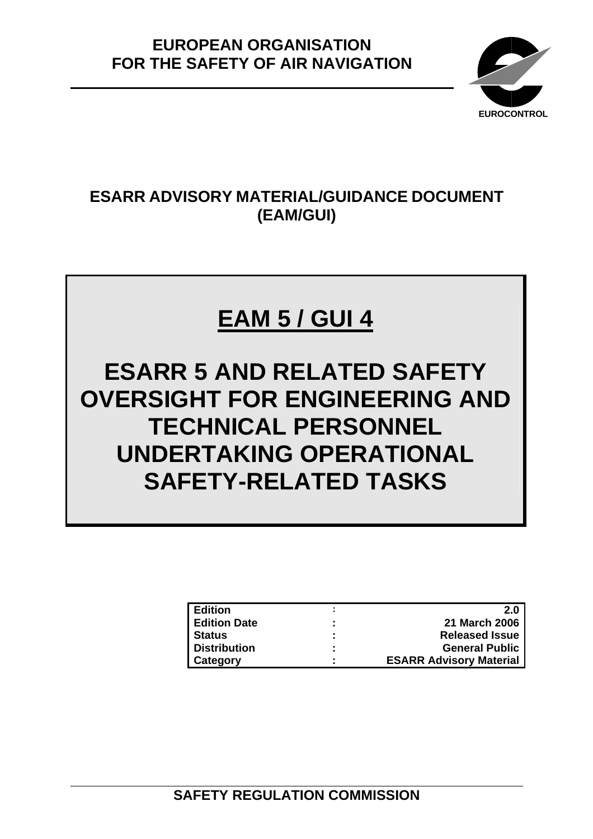

# **ESARR ADVISORY MATERIAL/GUIDANCE DOCUMENT (EAM/GUI)**

# **EAM 5 / GUI 4**

**ESARR 5 AND RELATED SAFETY OVERSIGHT FOR ENGINEERING AND TECHNICAL PERSONNEL UNDERTAKING OPERATIONAL SAFETY-RELATED TASKS** 

| <b>LEdition</b>     |                     | 2.0                            |
|---------------------|---------------------|--------------------------------|
| <b>Edition Date</b> | $\blacksquare$      | <b>21 March 2006</b>           |
| <b>Status</b>       | ٠<br>$\blacksquare$ | <b>Released Issue</b>          |
| Distribution        |                     | <b>General Public</b>          |
| <b>Category</b>     |                     | <b>ESARR Advisory Material</b> |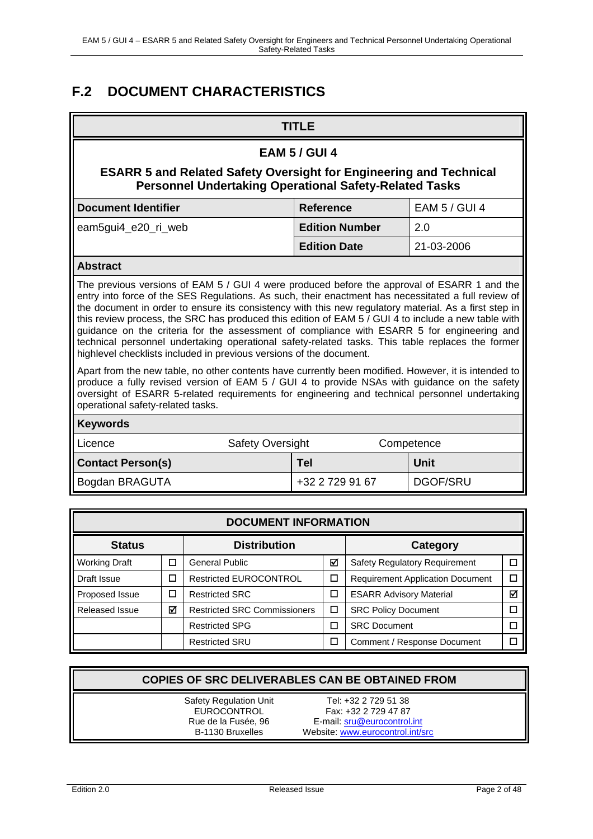# **F.2 DOCUMENT CHARACTERISTICS**

| <b>EAM 5 / GUI 4</b><br><b>ESARR 5 and Related Safety Oversight for Engineering and Technical</b><br><b>Personnel Undertaking Operational Safety-Related Tasks</b><br><b>Document Identifier</b><br><b>EAM 5 / GUI 4</b><br><b>Reference</b><br><b>Edition Number</b><br>2.0<br>eam5gui4_e20_ri_web<br>21-03-2006<br><b>Edition Date</b><br><b>Abstract</b><br>The previous versions of EAM 5 / GUI 4 were produced before the approval of ESARR 1 and the                                                                                                                                                                                                                                                                                                                                                                                                                                                                                 |  |  |  |  |  |  |
|--------------------------------------------------------------------------------------------------------------------------------------------------------------------------------------------------------------------------------------------------------------------------------------------------------------------------------------------------------------------------------------------------------------------------------------------------------------------------------------------------------------------------------------------------------------------------------------------------------------------------------------------------------------------------------------------------------------------------------------------------------------------------------------------------------------------------------------------------------------------------------------------------------------------------------------------|--|--|--|--|--|--|
|                                                                                                                                                                                                                                                                                                                                                                                                                                                                                                                                                                                                                                                                                                                                                                                                                                                                                                                                            |  |  |  |  |  |  |
|                                                                                                                                                                                                                                                                                                                                                                                                                                                                                                                                                                                                                                                                                                                                                                                                                                                                                                                                            |  |  |  |  |  |  |
|                                                                                                                                                                                                                                                                                                                                                                                                                                                                                                                                                                                                                                                                                                                                                                                                                                                                                                                                            |  |  |  |  |  |  |
|                                                                                                                                                                                                                                                                                                                                                                                                                                                                                                                                                                                                                                                                                                                                                                                                                                                                                                                                            |  |  |  |  |  |  |
|                                                                                                                                                                                                                                                                                                                                                                                                                                                                                                                                                                                                                                                                                                                                                                                                                                                                                                                                            |  |  |  |  |  |  |
|                                                                                                                                                                                                                                                                                                                                                                                                                                                                                                                                                                                                                                                                                                                                                                                                                                                                                                                                            |  |  |  |  |  |  |
| entry into force of the SES Regulations. As such, their enactment has necessitated a full review of<br>the document in order to ensure its consistency with this new regulatory material. As a first step in<br>this review process, the SRC has produced this edition of EAM 5 / GUI 4 to include a new table with<br>guidance on the criteria for the assessment of compliance with ESARR 5 for engineering and<br>technical personnel undertaking operational safety-related tasks. This table replaces the former<br>highlevel checklists included in previous versions of the document.<br>Apart from the new table, no other contents have currently been modified. However, it is intended to<br>produce a fully revised version of EAM 5 / GUI 4 to provide NSAs with guidance on the safety<br>oversight of ESARR 5-related requirements for engineering and technical personnel undertaking<br>operational safety-related tasks. |  |  |  |  |  |  |
| <b>Keywords</b>                                                                                                                                                                                                                                                                                                                                                                                                                                                                                                                                                                                                                                                                                                                                                                                                                                                                                                                            |  |  |  |  |  |  |
| <b>Safety Oversight</b><br>Licence<br>Competence                                                                                                                                                                                                                                                                                                                                                                                                                                                                                                                                                                                                                                                                                                                                                                                                                                                                                           |  |  |  |  |  |  |
| <b>Contact Person(s)</b><br><b>Unit</b><br><b>Tel</b>                                                                                                                                                                                                                                                                                                                                                                                                                                                                                                                                                                                                                                                                                                                                                                                                                                                                                      |  |  |  |  |  |  |
| <b>DGOF/SRU</b><br>Bogdan BRAGUTA<br>+32 2 729 91 67                                                                                                                                                                                                                                                                                                                                                                                                                                                                                                                                                                                                                                                                                                                                                                                                                                                                                       |  |  |  |  |  |  |
|                                                                                                                                                                                                                                                                                                                                                                                                                                                                                                                                                                                                                                                                                                                                                                                                                                                                                                                                            |  |  |  |  |  |  |
| <b>DOCUMENT INFORMATION</b>                                                                                                                                                                                                                                                                                                                                                                                                                                                                                                                                                                                                                                                                                                                                                                                                                                                                                                                |  |  |  |  |  |  |
| <b>Status</b><br><b>Distribution</b><br><b>Category</b>                                                                                                                                                                                                                                                                                                                                                                                                                                                                                                                                                                                                                                                                                                                                                                                                                                                                                    |  |  |  |  |  |  |

| vialus                                  |   | DIƏLI IDULIUI I                     |   | <b>Udicyul</b>                          |   |
|-----------------------------------------|---|-------------------------------------|---|-----------------------------------------|---|
| <b>Working Draft</b><br>ш               |   | General Public                      | ⊽ | <b>Safety Regulatory Requirement</b>    |   |
| Draft Issue<br>$\overline{\phantom{a}}$ |   | <b>Restricted EUROCONTROL</b>       |   | <b>Requirement Application Document</b> |   |
| Proposed Issue                          | П | <b>Restricted SRC</b>               |   | <b>ESARR Advisory Material</b>          | M |
| ⊠<br><b>Released Issue</b>              |   | <b>Restricted SRC Commissioners</b> |   | <b>SRC Policy Document</b>              |   |
|                                         |   | <b>Restricted SPG</b>               |   | <b>SRC Document</b>                     |   |
|                                         |   | <b>Restricted SRU</b>               |   | Comment / Response Document             |   |

| <b>COPIES OF SRC DELIVERABLES CAN BE OBTAINED FROM</b>                                         |                                                                                                                 |  |  |  |  |  |
|------------------------------------------------------------------------------------------------|-----------------------------------------------------------------------------------------------------------------|--|--|--|--|--|
| <b>Safety Regulation Unit</b><br><b>EUROCONTROL</b><br>Rue de la Fusée, 96<br>B-1130 Bruxelles | Tel: +32 2 729 51 38<br>Fax: +32 2 729 47 87<br>E-mail: sru@eurocontrol.int<br>Website: www.eurocontrol.int/src |  |  |  |  |  |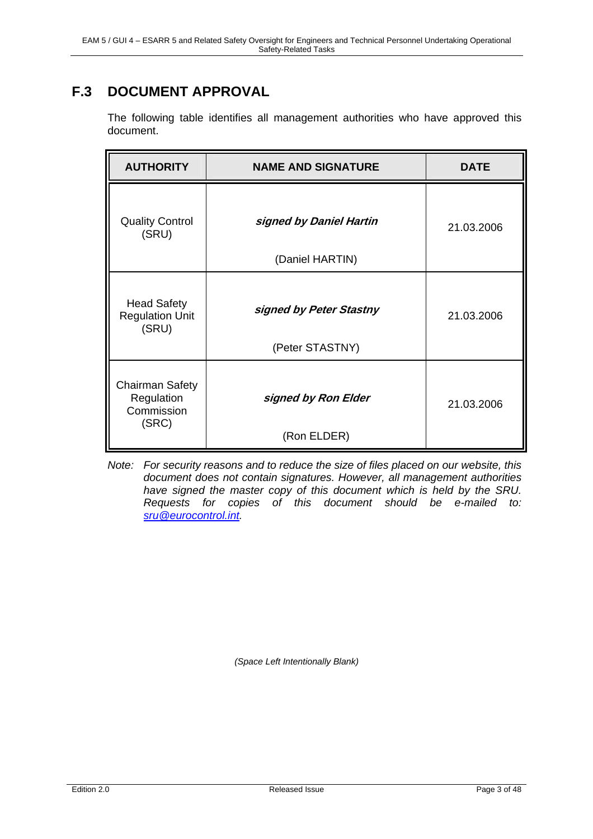# **F.3 DOCUMENT APPROVAL**

The following table identifies all management authorities who have approved this document.

| <b>AUTHORITY</b>                                            | <b>NAME AND SIGNATURE</b>                  | <b>DATE</b> |
|-------------------------------------------------------------|--------------------------------------------|-------------|
| <b>Quality Control</b><br>(SRU)                             | signed by Daniel Hartin<br>(Daniel HARTIN) | 21.03.2006  |
| <b>Head Safety</b><br><b>Regulation Unit</b><br>(SRU)       | signed by Peter Stastny<br>(Peter STASTNY) | 21.03.2006  |
| <b>Chairman Safety</b><br>Regulation<br>Commission<br>(SRC) | signed by Ron Elder<br>(Ron ELDER)         | 21.03.2006  |

*Note: For security reasons and to reduce the size of files placed on our website, this document does not contain signatures. However, all management authorities have signed the master copy of this document which is held by the SRU. Requests for copies of this document should be e-mailed to: sru@eurocontrol.int.*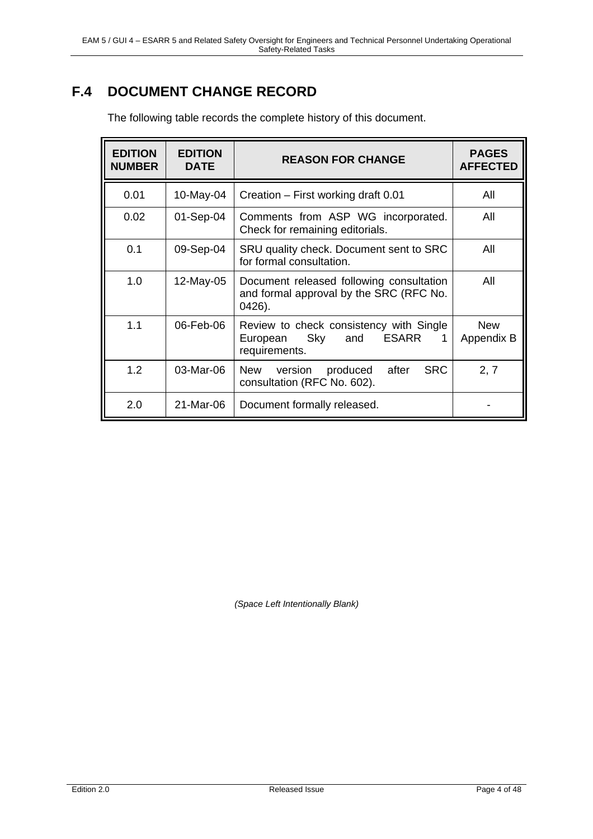# **F.4 DOCUMENT CHANGE RECORD**

| <b>EDITION</b><br><b>NUMBER</b> | <b>EDITION</b><br><b>DATE</b> | <b>REASON FOR CHANGE</b>                                                                                | <b>PAGES</b><br><b>AFFECTED</b> |
|---------------------------------|-------------------------------|---------------------------------------------------------------------------------------------------------|---------------------------------|
| 0.01                            | 10-May-04                     | Creation – First working draft 0.01                                                                     | All                             |
| 0.02                            | 01-Sep-04                     | Comments from ASP WG incorporated.<br>Check for remaining editorials.                                   | All                             |
| 0.1                             | 09-Sep-04                     | SRU quality check. Document sent to SRC<br>for formal consultation.                                     | All                             |
| 1.0                             | 12-May-05                     | Document released following consultation<br>and formal approval by the SRC (RFC No.<br>$0426$ ).        | All                             |
| 1.1                             | 06-Feb-06                     | Review to check consistency with Single<br><b>ESARR</b><br>Sky<br>and<br>European<br>1<br>requirements. | <b>New</b><br>Appendix B        |
| 1.2                             | 03-Mar-06                     | <b>SRC</b><br>after<br>New<br>produced<br>version<br>consultation (RFC No. 602).                        | 2, 7                            |
| 2.0                             | 21-Mar-06                     | Document formally released.                                                                             |                                 |

The following table records the complete history of this document.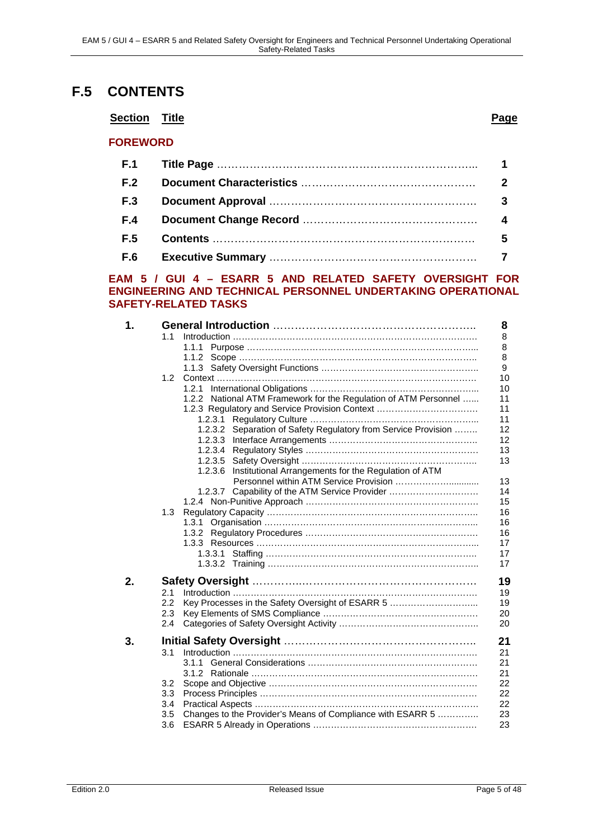# **F.5 CONTENTS**

### **Section Title Page**

### **FOREWORD**

| F.2        |   |
|------------|---|
| <b>F.3</b> |   |
| F.4        | 4 |
| F.5        | 5 |
| <b>F.6</b> |   |

#### **EAM 5 / GUI 4 – ESARR 5 AND RELATED SAFETY OVERSIGHT FOR ENGINEERING AND TECHNICAL PERSONNEL UNDERTAKING OPERATIONAL SAFETY-RELATED TASKS**

| 1. |               |                                                                  | 8  |
|----|---------------|------------------------------------------------------------------|----|
|    | 1.1           |                                                                  | 8  |
|    |               | 1.1.1                                                            | 8  |
|    |               |                                                                  | 8  |
|    |               |                                                                  | 9  |
|    |               |                                                                  | 10 |
|    |               |                                                                  | 10 |
|    |               | 1.2.2 National ATM Framework for the Regulation of ATM Personnel | 11 |
|    |               | 1.2.3 Regulatory and Service Provision Context                   | 11 |
|    |               | 1.2.3.1                                                          | 11 |
|    |               | 1.2.3.2 Separation of Safety Regulatory from Service Provision   | 12 |
|    |               |                                                                  | 12 |
|    |               |                                                                  | 13 |
|    |               |                                                                  | 13 |
|    |               | 1.2.3.6 Institutional Arrangements for the Regulation of ATM     |    |
|    |               |                                                                  | 13 |
|    |               | 1.2.3.7 Capability of the ATM Service Provider                   | 14 |
|    |               |                                                                  | 15 |
|    | 1.3           |                                                                  | 16 |
|    |               |                                                                  | 16 |
|    |               |                                                                  | 16 |
|    |               |                                                                  | 17 |
|    |               |                                                                  | 17 |
|    |               |                                                                  | 17 |
| 2. |               |                                                                  | 19 |
|    | 2.1           |                                                                  | 19 |
|    | $2.2^{\circ}$ | Key Processes in the Safety Oversight of ESARR 5                 | 19 |
|    | 2.3           |                                                                  | 20 |
|    | 2.4           |                                                                  | 20 |
|    |               |                                                                  |    |
| 3. |               |                                                                  | 21 |
|    | 3.1           |                                                                  | 21 |
|    |               |                                                                  | 21 |
|    |               |                                                                  | 21 |
|    | 3.2           |                                                                  | 22 |
|    | 3.3           |                                                                  | 22 |
|    | 3.4           |                                                                  | 22 |
|    | 3.5           | Changes to the Provider's Means of Compliance with ESARR 5       | 23 |
|    | 3.6           |                                                                  | 23 |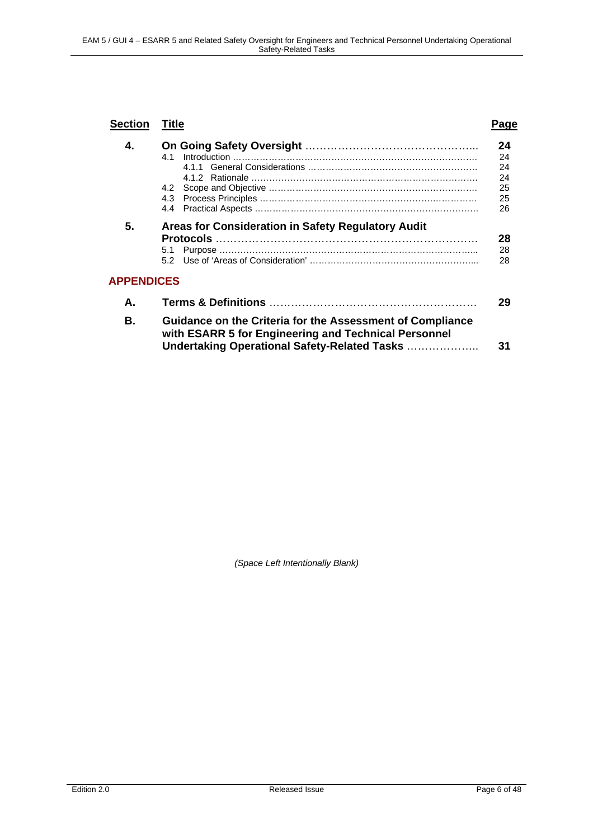| <b>Section</b>    | Title                                                                                                                                                             |                                        |
|-------------------|-------------------------------------------------------------------------------------------------------------------------------------------------------------------|----------------------------------------|
| 4.                | 41<br>4.2                                                                                                                                                         | 24<br>24<br>24<br>24<br>25<br>25<br>26 |
| 5.                | Areas for Consideration in Safety Regulatory Audit<br>5.1                                                                                                         | 28<br>28<br>28                         |
| <b>APPENDICES</b> |                                                                                                                                                                   |                                        |
| А.                |                                                                                                                                                                   | 29                                     |
| В.                | Guidance on the Criteria for the Assessment of Compliance<br>with ESARR 5 for Engineering and Technical Personnel<br>Undertaking Operational Safety-Related Tasks | 31                                     |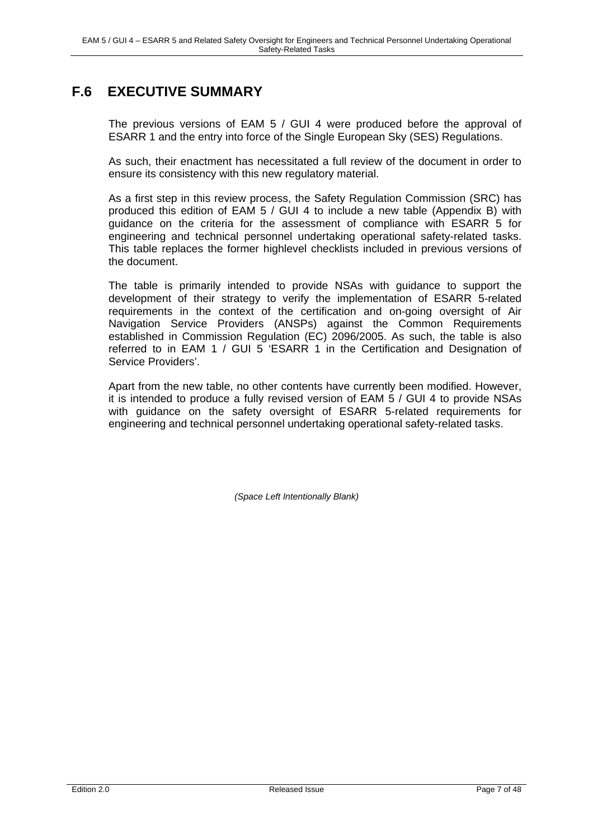# **F.6 EXECUTIVE SUMMARY**

The previous versions of EAM 5 / GUI 4 were produced before the approval of ESARR 1 and the entry into force of the Single European Sky (SES) Regulations.

As such, their enactment has necessitated a full review of the document in order to ensure its consistency with this new regulatory material.

As a first step in this review process, the Safety Regulation Commission (SRC) has produced this edition of EAM 5 / GUI 4 to include a new table (Appendix B) with guidance on the criteria for the assessment of compliance with ESARR 5 for engineering and technical personnel undertaking operational safety-related tasks. This table replaces the former highlevel checklists included in previous versions of the document.

The table is primarily intended to provide NSAs with guidance to support the development of their strategy to verify the implementation of ESARR 5-related requirements in the context of the certification and on-going oversight of Air Navigation Service Providers (ANSPs) against the Common Requirements established in Commission Regulation (EC) 2096/2005. As such, the table is also referred to in EAM 1 / GUI 5 'ESARR 1 in the Certification and Designation of Service Providers'.

Apart from the new table, no other contents have currently been modified. However, it is intended to produce a fully revised version of EAM 5 / GUI 4 to provide NSAs with guidance on the safety oversight of ESARR 5-related requirements for engineering and technical personnel undertaking operational safety-related tasks.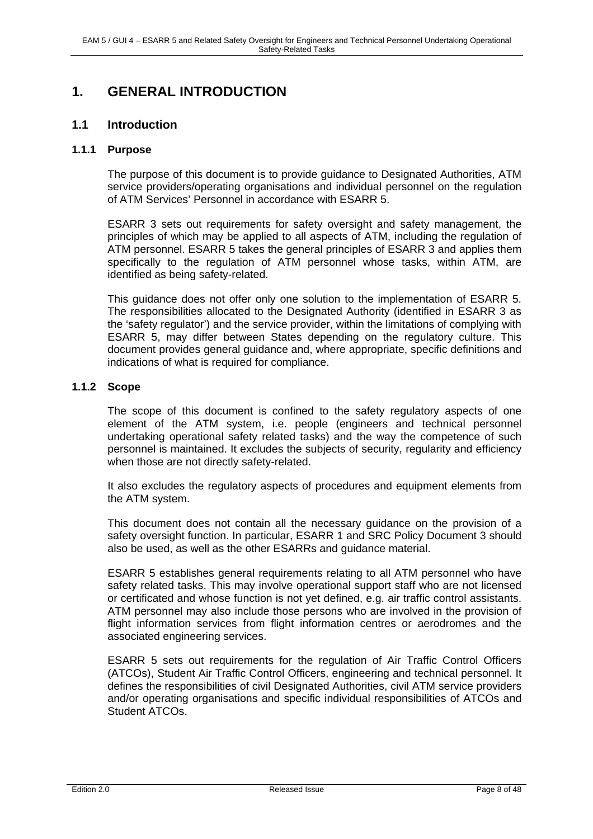# **1. GENERAL INTRODUCTION**

### **1.1 Introduction**

#### **1.1.1 Purpose**

The purpose of this document is to provide guidance to Designated Authorities, ATM service providers/operating organisations and individual personnel on the regulation of ATM Services' Personnel in accordance with ESARR 5.

ESARR 3 sets out requirements for safety oversight and safety management, the principles of which may be applied to all aspects of ATM, including the regulation of ATM personnel. ESARR 5 takes the general principles of ESARR 3 and applies them specifically to the regulation of ATM personnel whose tasks, within ATM, are identified as being safety-related.

This guidance does not offer only one solution to the implementation of ESARR 5. The responsibilities allocated to the Designated Authority (identified in ESARR 3 as the 'safety regulator') and the service provider, within the limitations of complying with ESARR 5, may differ between States depending on the regulatory culture. This document provides general guidance and, where appropriate, specific definitions and indications of what is required for compliance.

#### **1.1.2 Scope**

The scope of this document is confined to the safety regulatory aspects of one element of the ATM system, i.e. people (engineers and technical personnel undertaking operational safety related tasks) and the way the competence of such personnel is maintained. It excludes the subjects of security, regularity and efficiency when those are not directly safety-related.

It also excludes the regulatory aspects of procedures and equipment elements from the ATM system.

This document does not contain all the necessary guidance on the provision of a safety oversight function. In particular, ESARR 1 and SRC Policy Document 3 should also be used, as well as the other ESARRs and guidance material.

ESARR 5 establishes general requirements relating to all ATM personnel who have safety related tasks. This may involve operational support staff who are not licensed or certificated and whose function is not yet defined, e.g. air traffic control assistants. ATM personnel may also include those persons who are involved in the provision of flight information services from flight information centres or aerodromes and the associated engineering services.

ESARR 5 sets out requirements for the regulation of Air Traffic Control Officers (ATCOs), Student Air Traffic Control Officers, engineering and technical personnel. It defines the responsibilities of civil Designated Authorities, civil ATM service providers and/or operating organisations and specific individual responsibilities of ATCOs and Student ATCOs.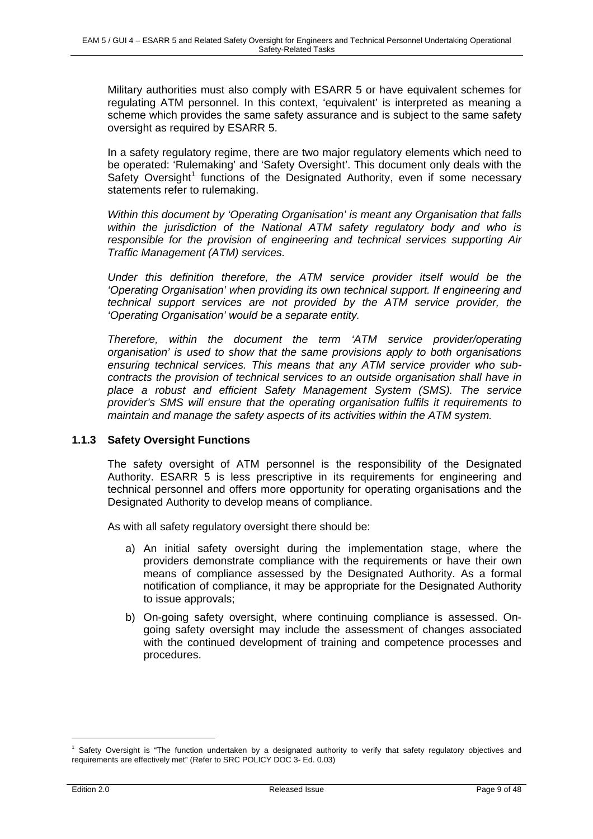Military authorities must also comply with ESARR 5 or have equivalent schemes for regulating ATM personnel. In this context, 'equivalent' is interpreted as meaning a scheme which provides the same safety assurance and is subject to the same safety oversight as required by ESARR 5.

In a safety regulatory regime, there are two major regulatory elements which need to be operated: 'Rulemaking' and 'Safety Oversight'. This document only deals with the Safety Oversight<sup>1</sup> functions of the Designated Authority, even if some necessary statements refer to rulemaking.

*Within this document by 'Operating Organisation' is meant any Organisation that falls within the jurisdiction of the National ATM safety regulatory body and who is responsible for the provision of engineering and technical services supporting Air Traffic Management (ATM) services.* 

*Under this definition therefore, the ATM service provider itself would be the 'Operating Organisation' when providing its own technical support. If engineering and technical support services are not provided by the ATM service provider, the 'Operating Organisation' would be a separate entity.* 

*Therefore, within the document the term 'ATM service provider/operating organisation' is used to show that the same provisions apply to both organisations ensuring technical services. This means that any ATM service provider who subcontracts the provision of technical services to an outside organisation shall have in place a robust and efficient Safety Management System (SMS). The service provider's SMS will ensure that the operating organisation fulfils it requirements to maintain and manage the safety aspects of its activities within the ATM system.* 

### **1.1.3 Safety Oversight Functions**

The safety oversight of ATM personnel is the responsibility of the Designated Authority. ESARR 5 is less prescriptive in its requirements for engineering and technical personnel and offers more opportunity for operating organisations and the Designated Authority to develop means of compliance.

As with all safety regulatory oversight there should be:

- a) An initial safety oversight during the implementation stage, where the providers demonstrate compliance with the requirements or have their own means of compliance assessed by the Designated Authority. As a formal notification of compliance, it may be appropriate for the Designated Authority to issue approvals;
- b) On-going safety oversight, where continuing compliance is assessed. Ongoing safety oversight may include the assessment of changes associated with the continued development of training and competence processes and procedures.

<sup>1</sup> Safety Oversight is "The function undertaken by a designated authority to verify that safety regulatory objectives and requirements are effectively met" (Refer to SRC POLICY DOC 3- Ed. 0.03)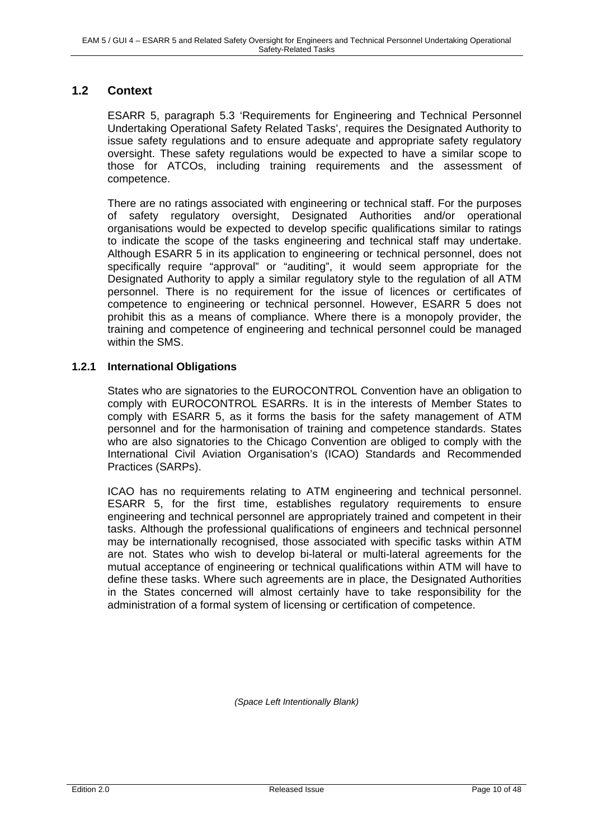### **1.2 Context**

ESARR 5, paragraph 5.3 'Requirements for Engineering and Technical Personnel Undertaking Operational Safety Related Tasks', requires the Designated Authority to issue safety regulations and to ensure adequate and appropriate safety regulatory oversight. These safety regulations would be expected to have a similar scope to those for ATCOs, including training requirements and the assessment of competence.

There are no ratings associated with engineering or technical staff. For the purposes of safety regulatory oversight, Designated Authorities and/or operational organisations would be expected to develop specific qualifications similar to ratings to indicate the scope of the tasks engineering and technical staff may undertake. Although ESARR 5 in its application to engineering or technical personnel, does not specifically require "approval" or "auditing", it would seem appropriate for the Designated Authority to apply a similar regulatory style to the regulation of all ATM personnel. There is no requirement for the issue of licences or certificates of competence to engineering or technical personnel. However, ESARR 5 does not prohibit this as a means of compliance. Where there is a monopoly provider, the training and competence of engineering and technical personnel could be managed within the SMS.

### **1.2.1 International Obligations**

States who are signatories to the EUROCONTROL Convention have an obligation to comply with EUROCONTROL ESARRs. It is in the interests of Member States to comply with ESARR 5, as it forms the basis for the safety management of ATM personnel and for the harmonisation of training and competence standards. States who are also signatories to the Chicago Convention are obliged to comply with the International Civil Aviation Organisation's (ICAO) Standards and Recommended Practices (SARPs).

ICAO has no requirements relating to ATM engineering and technical personnel. ESARR 5, for the first time, establishes regulatory requirements to ensure engineering and technical personnel are appropriately trained and competent in their tasks. Although the professional qualifications of engineers and technical personnel may be internationally recognised, those associated with specific tasks within ATM are not. States who wish to develop bi-lateral or multi-lateral agreements for the mutual acceptance of engineering or technical qualifications within ATM will have to define these tasks. Where such agreements are in place, the Designated Authorities in the States concerned will almost certainly have to take responsibility for the administration of a formal system of licensing or certification of competence.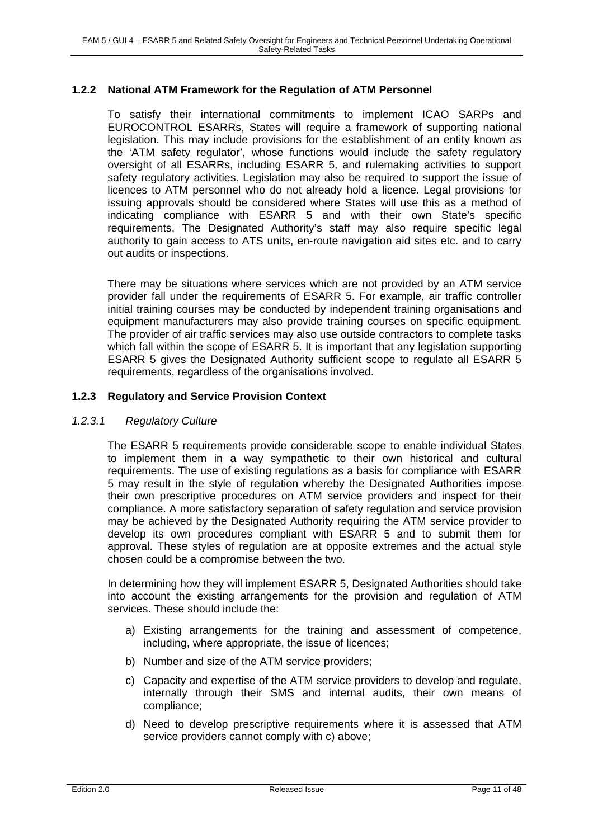### **1.2.2 National ATM Framework for the Regulation of ATM Personnel**

To satisfy their international commitments to implement ICAO SARPs and EUROCONTROL ESARRs, States will require a framework of supporting national legislation. This may include provisions for the establishment of an entity known as the 'ATM safety regulator', whose functions would include the safety regulatory oversight of all ESARRs, including ESARR 5, and rulemaking activities to support safety regulatory activities. Legislation may also be required to support the issue of licences to ATM personnel who do not already hold a licence. Legal provisions for issuing approvals should be considered where States will use this as a method of indicating compliance with ESARR 5 and with their own State's specific requirements. The Designated Authority's staff may also require specific legal authority to gain access to ATS units, en-route navigation aid sites etc. and to carry out audits or inspections.

There may be situations where services which are not provided by an ATM service provider fall under the requirements of ESARR 5. For example, air traffic controller initial training courses may be conducted by independent training organisations and equipment manufacturers may also provide training courses on specific equipment. The provider of air traffic services may also use outside contractors to complete tasks which fall within the scope of ESARR 5. It is important that any legislation supporting ESARR 5 gives the Designated Authority sufficient scope to regulate all ESARR 5 requirements, regardless of the organisations involved.

### **1.2.3 Regulatory and Service Provision Context**

#### *1.2.3.1 Regulatory Culture*

The ESARR 5 requirements provide considerable scope to enable individual States to implement them in a way sympathetic to their own historical and cultural requirements. The use of existing regulations as a basis for compliance with ESARR 5 may result in the style of regulation whereby the Designated Authorities impose their own prescriptive procedures on ATM service providers and inspect for their compliance. A more satisfactory separation of safety regulation and service provision may be achieved by the Designated Authority requiring the ATM service provider to develop its own procedures compliant with ESARR 5 and to submit them for approval. These styles of regulation are at opposite extremes and the actual style chosen could be a compromise between the two.

In determining how they will implement ESARR 5, Designated Authorities should take into account the existing arrangements for the provision and regulation of ATM services. These should include the:

- a) Existing arrangements for the training and assessment of competence, including, where appropriate, the issue of licences;
- b) Number and size of the ATM service providers;
- c) Capacity and expertise of the ATM service providers to develop and regulate, internally through their SMS and internal audits, their own means of compliance;
- d) Need to develop prescriptive requirements where it is assessed that ATM service providers cannot comply with c) above;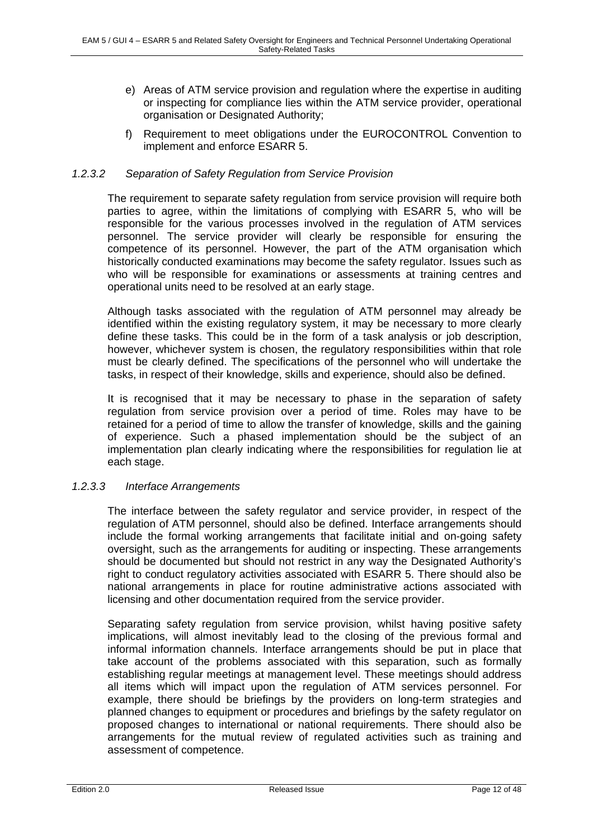- e) Areas of ATM service provision and regulation where the expertise in auditing or inspecting for compliance lies within the ATM service provider, operational organisation or Designated Authority;
- f) Requirement to meet obligations under the EUROCONTROL Convention to implement and enforce ESARR 5.

### *1.2.3.2 Separation of Safety Regulation from Service Provision*

The requirement to separate safety regulation from service provision will require both parties to agree, within the limitations of complying with ESARR 5, who will be responsible for the various processes involved in the regulation of ATM services personnel. The service provider will clearly be responsible for ensuring the competence of its personnel. However, the part of the ATM organisation which historically conducted examinations may become the safety regulator. Issues such as who will be responsible for examinations or assessments at training centres and operational units need to be resolved at an early stage.

Although tasks associated with the regulation of ATM personnel may already be identified within the existing regulatory system, it may be necessary to more clearly define these tasks. This could be in the form of a task analysis or job description, however, whichever system is chosen, the regulatory responsibilities within that role must be clearly defined. The specifications of the personnel who will undertake the tasks, in respect of their knowledge, skills and experience, should also be defined.

It is recognised that it may be necessary to phase in the separation of safety regulation from service provision over a period of time. Roles may have to be retained for a period of time to allow the transfer of knowledge, skills and the gaining of experience. Such a phased implementation should be the subject of an implementation plan clearly indicating where the responsibilities for regulation lie at each stage.

### *1.2.3.3 Interface Arrangements*

The interface between the safety regulator and service provider, in respect of the regulation of ATM personnel, should also be defined. Interface arrangements should include the formal working arrangements that facilitate initial and on-going safety oversight, such as the arrangements for auditing or inspecting. These arrangements should be documented but should not restrict in any way the Designated Authority's right to conduct regulatory activities associated with ESARR 5. There should also be national arrangements in place for routine administrative actions associated with licensing and other documentation required from the service provider.

Separating safety regulation from service provision, whilst having positive safety implications, will almost inevitably lead to the closing of the previous formal and informal information channels. Interface arrangements should be put in place that take account of the problems associated with this separation, such as formally establishing regular meetings at management level. These meetings should address all items which will impact upon the regulation of ATM services personnel. For example, there should be briefings by the providers on long-term strategies and planned changes to equipment or procedures and briefings by the safety regulator on proposed changes to international or national requirements. There should also be arrangements for the mutual review of regulated activities such as training and assessment of competence.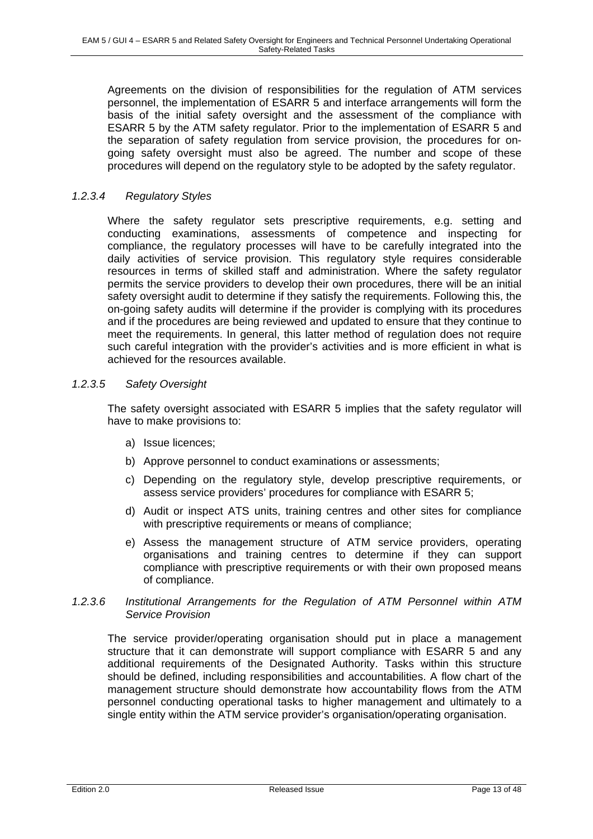Agreements on the division of responsibilities for the regulation of ATM services personnel, the implementation of ESARR 5 and interface arrangements will form the basis of the initial safety oversight and the assessment of the compliance with ESARR 5 by the ATM safety regulator. Prior to the implementation of ESARR 5 and the separation of safety regulation from service provision, the procedures for ongoing safety oversight must also be agreed. The number and scope of these procedures will depend on the regulatory style to be adopted by the safety regulator.

### *1.2.3.4 Regulatory Styles*

Where the safety regulator sets prescriptive requirements, e.g. setting and conducting examinations, assessments of competence and inspecting for compliance, the regulatory processes will have to be carefully integrated into the daily activities of service provision. This regulatory style requires considerable resources in terms of skilled staff and administration. Where the safety regulator permits the service providers to develop their own procedures, there will be an initial safety oversight audit to determine if they satisfy the requirements. Following this, the on-going safety audits will determine if the provider is complying with its procedures and if the procedures are being reviewed and updated to ensure that they continue to meet the requirements. In general, this latter method of regulation does not require such careful integration with the provider's activities and is more efficient in what is achieved for the resources available.

### *1.2.3.5 Safety Oversight*

The safety oversight associated with ESARR 5 implies that the safety regulator will have to make provisions to:

- a) Issue licences;
- b) Approve personnel to conduct examinations or assessments;
- c) Depending on the regulatory style, develop prescriptive requirements, or assess service providers' procedures for compliance with ESARR 5;
- d) Audit or inspect ATS units, training centres and other sites for compliance with prescriptive requirements or means of compliance;
- e) Assess the management structure of ATM service providers, operating organisations and training centres to determine if they can support compliance with prescriptive requirements or with their own proposed means of compliance.

### *1.2.3.6 Institutional Arrangements for the Regulation of ATM Personnel within ATM Service Provision*

The service provider/operating organisation should put in place a management structure that it can demonstrate will support compliance with ESARR 5 and any additional requirements of the Designated Authority. Tasks within this structure should be defined, including responsibilities and accountabilities. A flow chart of the management structure should demonstrate how accountability flows from the ATM personnel conducting operational tasks to higher management and ultimately to a single entity within the ATM service provider's organisation/operating organisation.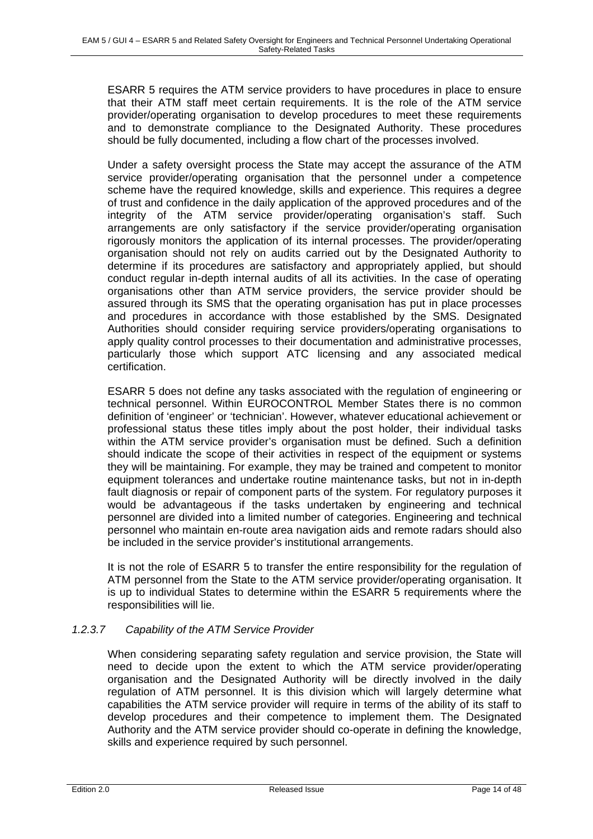ESARR 5 requires the ATM service providers to have procedures in place to ensure that their ATM staff meet certain requirements. It is the role of the ATM service provider/operating organisation to develop procedures to meet these requirements and to demonstrate compliance to the Designated Authority. These procedures should be fully documented, including a flow chart of the processes involved.

Under a safety oversight process the State may accept the assurance of the ATM service provider/operating organisation that the personnel under a competence scheme have the required knowledge, skills and experience. This requires a degree of trust and confidence in the daily application of the approved procedures and of the integrity of the ATM service provider/operating organisation's staff. Such arrangements are only satisfactory if the service provider/operating organisation rigorously monitors the application of its internal processes. The provider/operating organisation should not rely on audits carried out by the Designated Authority to determine if its procedures are satisfactory and appropriately applied, but should conduct regular in-depth internal audits of all its activities. In the case of operating organisations other than ATM service providers, the service provider should be assured through its SMS that the operating organisation has put in place processes and procedures in accordance with those established by the SMS. Designated Authorities should consider requiring service providers/operating organisations to apply quality control processes to their documentation and administrative processes, particularly those which support ATC licensing and any associated medical certification.

ESARR 5 does not define any tasks associated with the regulation of engineering or technical personnel. Within EUROCONTROL Member States there is no common definition of 'engineer' or 'technician'. However, whatever educational achievement or professional status these titles imply about the post holder, their individual tasks within the ATM service provider's organisation must be defined. Such a definition should indicate the scope of their activities in respect of the equipment or systems they will be maintaining. For example, they may be trained and competent to monitor equipment tolerances and undertake routine maintenance tasks, but not in in-depth fault diagnosis or repair of component parts of the system. For regulatory purposes it would be advantageous if the tasks undertaken by engineering and technical personnel are divided into a limited number of categories. Engineering and technical personnel who maintain en-route area navigation aids and remote radars should also be included in the service provider's institutional arrangements.

It is not the role of ESARR 5 to transfer the entire responsibility for the regulation of ATM personnel from the State to the ATM service provider/operating organisation. It is up to individual States to determine within the ESARR 5 requirements where the responsibilities will lie.

### *1.2.3.7 Capability of the ATM Service Provider*

When considering separating safety regulation and service provision, the State will need to decide upon the extent to which the ATM service provider/operating organisation and the Designated Authority will be directly involved in the daily regulation of ATM personnel. It is this division which will largely determine what capabilities the ATM service provider will require in terms of the ability of its staff to develop procedures and their competence to implement them. The Designated Authority and the ATM service provider should co-operate in defining the knowledge, skills and experience required by such personnel.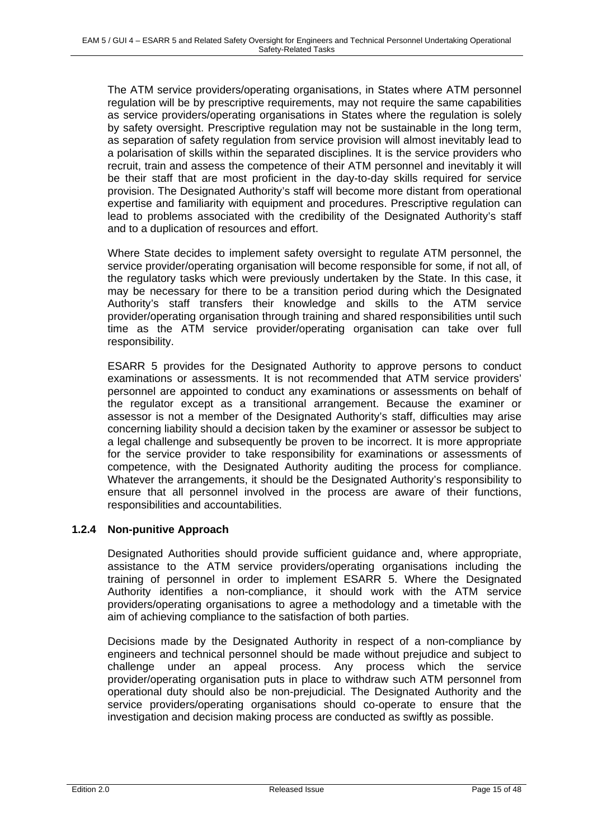The ATM service providers/operating organisations, in States where ATM personnel regulation will be by prescriptive requirements, may not require the same capabilities as service providers/operating organisations in States where the regulation is solely by safety oversight. Prescriptive regulation may not be sustainable in the long term, as separation of safety regulation from service provision will almost inevitably lead to a polarisation of skills within the separated disciplines. It is the service providers who recruit, train and assess the competence of their ATM personnel and inevitably it will be their staff that are most proficient in the day-to-day skills required for service provision. The Designated Authority's staff will become more distant from operational expertise and familiarity with equipment and procedures. Prescriptive regulation can lead to problems associated with the credibility of the Designated Authority's staff and to a duplication of resources and effort.

Where State decides to implement safety oversight to regulate ATM personnel, the service provider/operating organisation will become responsible for some, if not all, of the regulatory tasks which were previously undertaken by the State. In this case, it may be necessary for there to be a transition period during which the Designated Authority's staff transfers their knowledge and skills to the ATM service provider/operating organisation through training and shared responsibilities until such time as the ATM service provider/operating organisation can take over full responsibility.

ESARR 5 provides for the Designated Authority to approve persons to conduct examinations or assessments. It is not recommended that ATM service providers' personnel are appointed to conduct any examinations or assessments on behalf of the regulator except as a transitional arrangement. Because the examiner or assessor is not a member of the Designated Authority's staff, difficulties may arise concerning liability should a decision taken by the examiner or assessor be subject to a legal challenge and subsequently be proven to be incorrect. It is more appropriate for the service provider to take responsibility for examinations or assessments of competence, with the Designated Authority auditing the process for compliance. Whatever the arrangements, it should be the Designated Authority's responsibility to ensure that all personnel involved in the process are aware of their functions, responsibilities and accountabilities.

### **1.2.4 Non-punitive Approach**

Designated Authorities should provide sufficient guidance and, where appropriate, assistance to the ATM service providers/operating organisations including the training of personnel in order to implement ESARR 5. Where the Designated Authority identifies a non-compliance, it should work with the ATM service providers/operating organisations to agree a methodology and a timetable with the aim of achieving compliance to the satisfaction of both parties.

Decisions made by the Designated Authority in respect of a non-compliance by engineers and technical personnel should be made without prejudice and subject to challenge under an appeal process. Any process which the service provider/operating organisation puts in place to withdraw such ATM personnel from operational duty should also be non-prejudicial. The Designated Authority and the service providers/operating organisations should co-operate to ensure that the investigation and decision making process are conducted as swiftly as possible.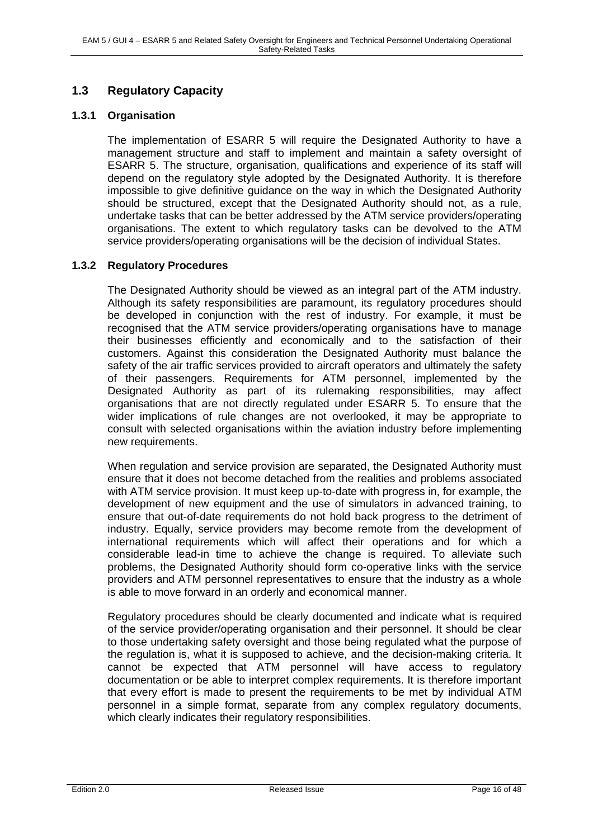# **1.3 Regulatory Capacity**

### **1.3.1 Organisation**

The implementation of ESARR 5 will require the Designated Authority to have a management structure and staff to implement and maintain a safety oversight of ESARR 5. The structure, organisation, qualifications and experience of its staff will depend on the regulatory style adopted by the Designated Authority. It is therefore impossible to give definitive guidance on the way in which the Designated Authority should be structured, except that the Designated Authority should not, as a rule, undertake tasks that can be better addressed by the ATM service providers/operating organisations. The extent to which regulatory tasks can be devolved to the ATM service providers/operating organisations will be the decision of individual States.

### **1.3.2 Regulatory Procedures**

The Designated Authority should be viewed as an integral part of the ATM industry. Although its safety responsibilities are paramount, its regulatory procedures should be developed in conjunction with the rest of industry. For example, it must be recognised that the ATM service providers/operating organisations have to manage their businesses efficiently and economically and to the satisfaction of their customers. Against this consideration the Designated Authority must balance the safety of the air traffic services provided to aircraft operators and ultimately the safety of their passengers. Requirements for ATM personnel, implemented by the Designated Authority as part of its rulemaking responsibilities, may affect organisations that are not directly regulated under ESARR 5. To ensure that the wider implications of rule changes are not overlooked, it may be appropriate to consult with selected organisations within the aviation industry before implementing new requirements.

When regulation and service provision are separated, the Designated Authority must ensure that it does not become detached from the realities and problems associated with ATM service provision. It must keep up-to-date with progress in, for example, the development of new equipment and the use of simulators in advanced training, to ensure that out-of-date requirements do not hold back progress to the detriment of industry. Equally, service providers may become remote from the development of international requirements which will affect their operations and for which a considerable lead-in time to achieve the change is required. To alleviate such problems, the Designated Authority should form co-operative links with the service providers and ATM personnel representatives to ensure that the industry as a whole is able to move forward in an orderly and economical manner.

Regulatory procedures should be clearly documented and indicate what is required of the service provider/operating organisation and their personnel. It should be clear to those undertaking safety oversight and those being regulated what the purpose of the regulation is, what it is supposed to achieve, and the decision-making criteria. It cannot be expected that ATM personnel will have access to regulatory documentation or be able to interpret complex requirements. It is therefore important that every effort is made to present the requirements to be met by individual ATM personnel in a simple format, separate from any complex regulatory documents, which clearly indicates their regulatory responsibilities.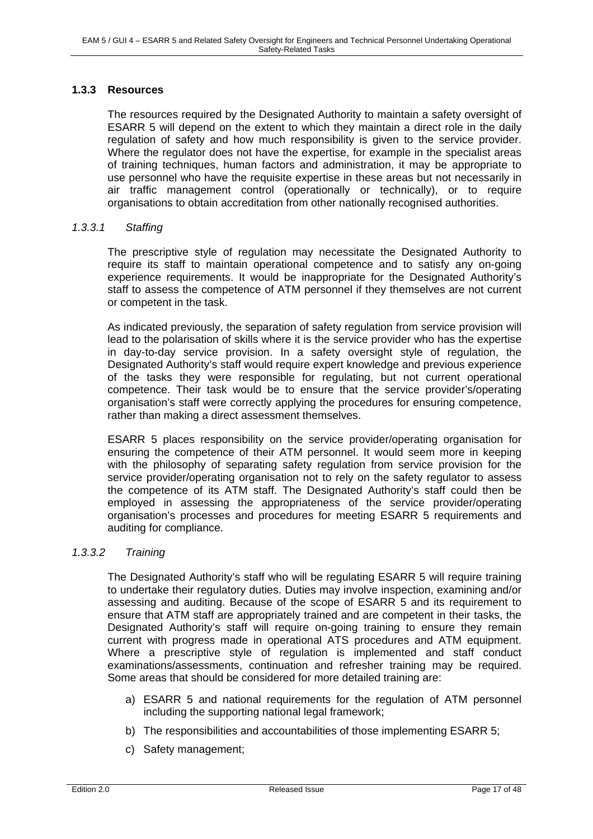### **1.3.3 Resources**

The resources required by the Designated Authority to maintain a safety oversight of ESARR 5 will depend on the extent to which they maintain a direct role in the daily regulation of safety and how much responsibility is given to the service provider. Where the regulator does not have the expertise, for example in the specialist areas of training techniques, human factors and administration, it may be appropriate to use personnel who have the requisite expertise in these areas but not necessarily in air traffic management control (operationally or technically), or to require organisations to obtain accreditation from other nationally recognised authorities.

#### *1.3.3.1 Staffing*

The prescriptive style of regulation may necessitate the Designated Authority to require its staff to maintain operational competence and to satisfy any on-going experience requirements. It would be inappropriate for the Designated Authority's staff to assess the competence of ATM personnel if they themselves are not current or competent in the task.

As indicated previously, the separation of safety regulation from service provision will lead to the polarisation of skills where it is the service provider who has the expertise in day-to-day service provision. In a safety oversight style of regulation, the Designated Authority's staff would require expert knowledge and previous experience of the tasks they were responsible for regulating, but not current operational competence. Their task would be to ensure that the service provider's/operating organisation's staff were correctly applying the procedures for ensuring competence, rather than making a direct assessment themselves.

ESARR 5 places responsibility on the service provider/operating organisation for ensuring the competence of their ATM personnel. It would seem more in keeping with the philosophy of separating safety regulation from service provision for the service provider/operating organisation not to rely on the safety regulator to assess the competence of its ATM staff. The Designated Authority's staff could then be employed in assessing the appropriateness of the service provider/operating organisation's processes and procedures for meeting ESARR 5 requirements and auditing for compliance.

### *1.3.3.2 Training*

The Designated Authority's staff who will be regulating ESARR 5 will require training to undertake their regulatory duties. Duties may involve inspection, examining and/or assessing and auditing. Because of the scope of ESARR 5 and its requirement to ensure that ATM staff are appropriately trained and are competent in their tasks, the Designated Authority's staff will require on-going training to ensure they remain current with progress made in operational ATS procedures and ATM equipment. Where a prescriptive style of regulation is implemented and staff conduct examinations/assessments, continuation and refresher training may be required. Some areas that should be considered for more detailed training are:

- a) ESARR 5 and national requirements for the regulation of ATM personnel including the supporting national legal framework;
- b) The responsibilities and accountabilities of those implementing ESARR 5;
- c) Safety management;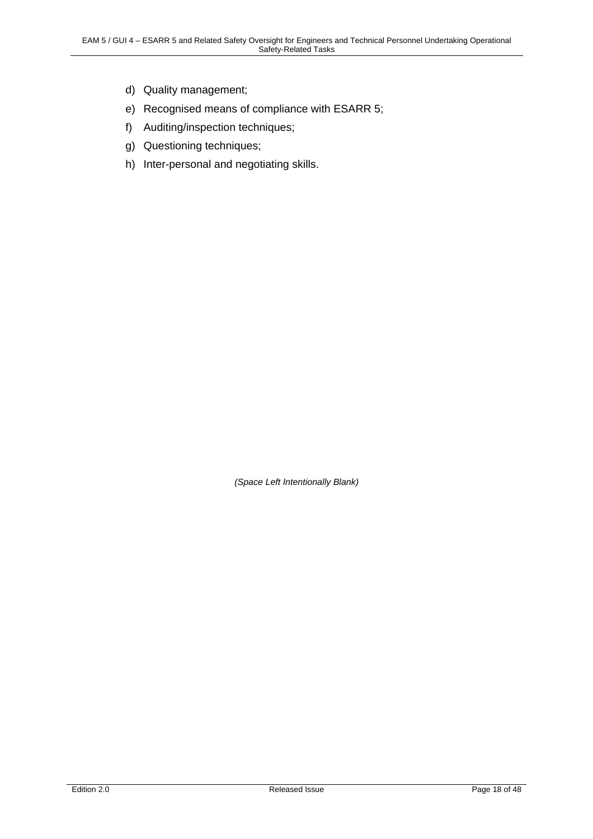- d) Quality management;
- e) Recognised means of compliance with ESARR 5;
- f) Auditing/inspection techniques;
- g) Questioning techniques;
- h) Inter-personal and negotiating skills.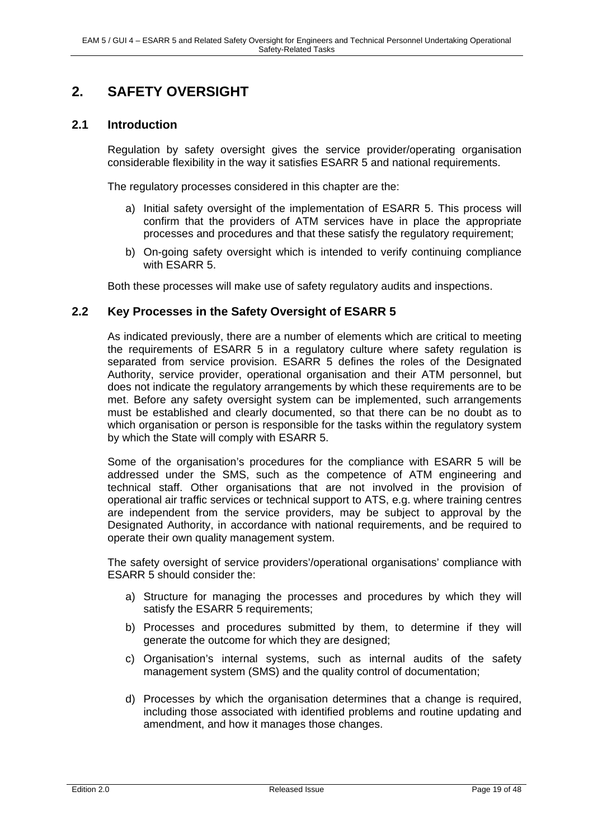# **2. SAFETY OVERSIGHT**

### **2.1 Introduction**

Regulation by safety oversight gives the service provider/operating organisation considerable flexibility in the way it satisfies ESARR 5 and national requirements.

The regulatory processes considered in this chapter are the:

- a) Initial safety oversight of the implementation of ESARR 5. This process will confirm that the providers of ATM services have in place the appropriate processes and procedures and that these satisfy the regulatory requirement;
- b) On-going safety oversight which is intended to verify continuing compliance with ESARR 5.

Both these processes will make use of safety regulatory audits and inspections.

### **2.2 Key Processes in the Safety Oversight of ESARR 5**

As indicated previously, there are a number of elements which are critical to meeting the requirements of ESARR 5 in a regulatory culture where safety regulation is separated from service provision. ESARR 5 defines the roles of the Designated Authority, service provider, operational organisation and their ATM personnel, but does not indicate the regulatory arrangements by which these requirements are to be met. Before any safety oversight system can be implemented, such arrangements must be established and clearly documented, so that there can be no doubt as to which organisation or person is responsible for the tasks within the regulatory system by which the State will comply with ESARR 5.

Some of the organisation's procedures for the compliance with ESARR 5 will be addressed under the SMS, such as the competence of ATM engineering and technical staff. Other organisations that are not involved in the provision of operational air traffic services or technical support to ATS, e.g. where training centres are independent from the service providers, may be subject to approval by the Designated Authority, in accordance with national requirements, and be required to operate their own quality management system.

The safety oversight of service providers'/operational organisations' compliance with ESARR 5 should consider the:

- a) Structure for managing the processes and procedures by which they will satisfy the ESARR 5 requirements:
- b) Processes and procedures submitted by them, to determine if they will generate the outcome for which they are designed;
- c) Organisation's internal systems, such as internal audits of the safety management system (SMS) and the quality control of documentation;
- d) Processes by which the organisation determines that a change is required, including those associated with identified problems and routine updating and amendment, and how it manages those changes.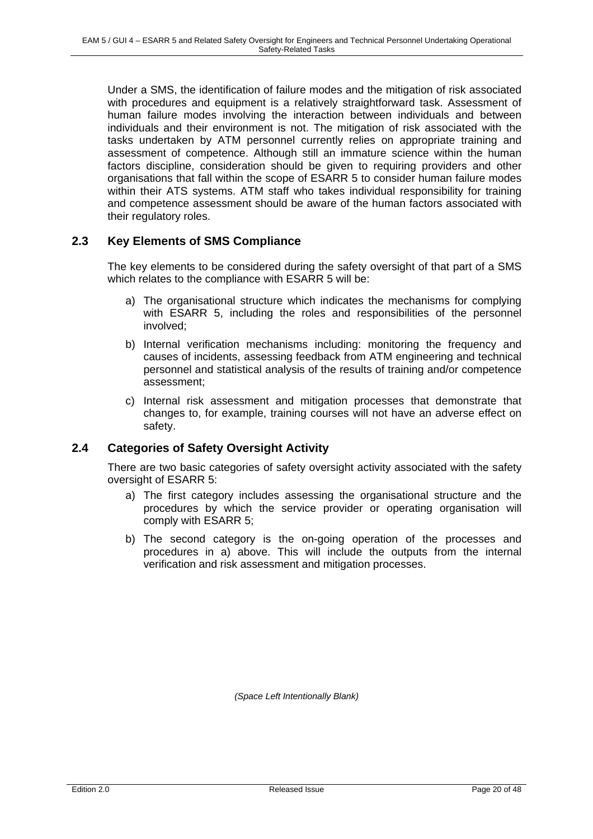Under a SMS, the identification of failure modes and the mitigation of risk associated with procedures and equipment is a relatively straightforward task. Assessment of human failure modes involving the interaction between individuals and between individuals and their environment is not. The mitigation of risk associated with the tasks undertaken by ATM personnel currently relies on appropriate training and assessment of competence. Although still an immature science within the human factors discipline, consideration should be given to requiring providers and other organisations that fall within the scope of ESARR 5 to consider human failure modes within their ATS systems. ATM staff who takes individual responsibility for training and competence assessment should be aware of the human factors associated with their regulatory roles.

### **2.3 Key Elements of SMS Compliance**

The key elements to be considered during the safety oversight of that part of a SMS which relates to the compliance with ESARR 5 will be:

- a) The organisational structure which indicates the mechanisms for complying with ESARR 5, including the roles and responsibilities of the personnel involved;
- b) Internal verification mechanisms including: monitoring the frequency and causes of incidents, assessing feedback from ATM engineering and technical personnel and statistical analysis of the results of training and/or competence assessment;
- c) Internal risk assessment and mitigation processes that demonstrate that changes to, for example, training courses will not have an adverse effect on safety.

# **2.4 Categories of Safety Oversight Activity**

There are two basic categories of safety oversight activity associated with the safety oversight of ESARR 5:

- a) The first category includes assessing the organisational structure and the procedures by which the service provider or operating organisation will comply with ESARR 5;
- b) The second category is the on-going operation of the processes and procedures in a) above. This will include the outputs from the internal verification and risk assessment and mitigation processes.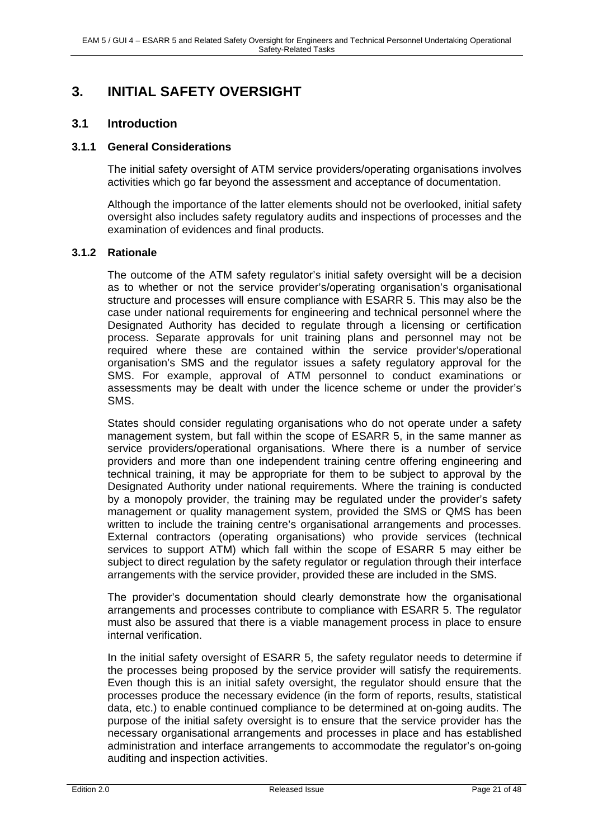# **3. INITIAL SAFETY OVERSIGHT**

### **3.1 Introduction**

#### **3.1.1 General Considerations**

The initial safety oversight of ATM service providers/operating organisations involves activities which go far beyond the assessment and acceptance of documentation.

Although the importance of the latter elements should not be overlooked, initial safety oversight also includes safety regulatory audits and inspections of processes and the examination of evidences and final products.

#### **3.1.2 Rationale**

The outcome of the ATM safety regulator's initial safety oversight will be a decision as to whether or not the service provider's/operating organisation's organisational structure and processes will ensure compliance with ESARR 5. This may also be the case under national requirements for engineering and technical personnel where the Designated Authority has decided to regulate through a licensing or certification process. Separate approvals for unit training plans and personnel may not be required where these are contained within the service provider's/operational organisation's SMS and the regulator issues a safety regulatory approval for the SMS. For example, approval of ATM personnel to conduct examinations or assessments may be dealt with under the licence scheme or under the provider's SMS.

States should consider regulating organisations who do not operate under a safety management system, but fall within the scope of ESARR 5, in the same manner as service providers/operational organisations. Where there is a number of service providers and more than one independent training centre offering engineering and technical training, it may be appropriate for them to be subject to approval by the Designated Authority under national requirements. Where the training is conducted by a monopoly provider, the training may be regulated under the provider's safety management or quality management system, provided the SMS or QMS has been written to include the training centre's organisational arrangements and processes. External contractors (operating organisations) who provide services (technical services to support ATM) which fall within the scope of ESARR 5 may either be subject to direct regulation by the safety regulator or regulation through their interface arrangements with the service provider, provided these are included in the SMS.

The provider's documentation should clearly demonstrate how the organisational arrangements and processes contribute to compliance with ESARR 5. The regulator must also be assured that there is a viable management process in place to ensure internal verification.

In the initial safety oversight of ESARR 5, the safety regulator needs to determine if the processes being proposed by the service provider will satisfy the requirements. Even though this is an initial safety oversight, the regulator should ensure that the processes produce the necessary evidence (in the form of reports, results, statistical data, etc.) to enable continued compliance to be determined at on-going audits. The purpose of the initial safety oversight is to ensure that the service provider has the necessary organisational arrangements and processes in place and has established administration and interface arrangements to accommodate the regulator's on-going auditing and inspection activities.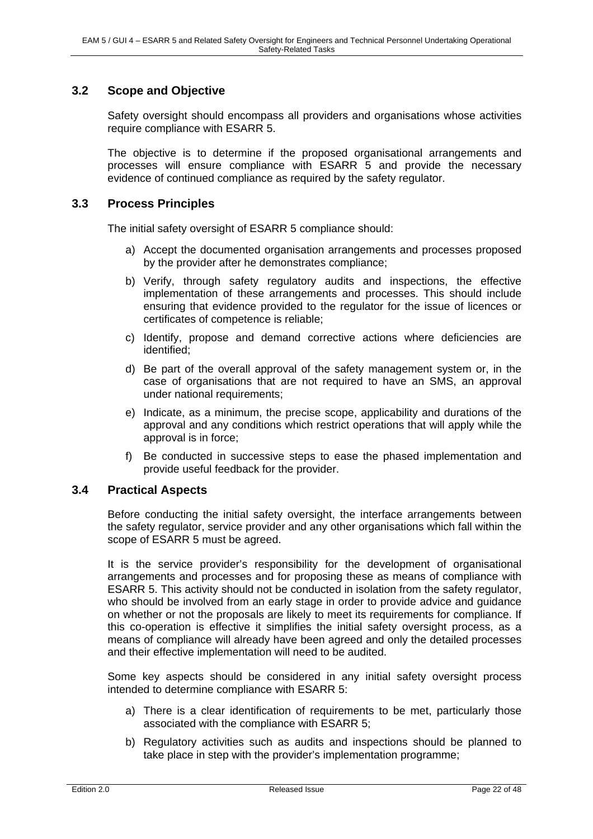## **3.2 Scope and Objective**

Safety oversight should encompass all providers and organisations whose activities require compliance with ESARR 5.

The objective is to determine if the proposed organisational arrangements and processes will ensure compliance with ESARR 5 and provide the necessary evidence of continued compliance as required by the safety regulator.

### **3.3 Process Principles**

The initial safety oversight of ESARR 5 compliance should:

- a) Accept the documented organisation arrangements and processes proposed by the provider after he demonstrates compliance;
- b) Verify, through safety regulatory audits and inspections, the effective implementation of these arrangements and processes. This should include ensuring that evidence provided to the regulator for the issue of licences or certificates of competence is reliable;
- c) Identify, propose and demand corrective actions where deficiencies are identified;
- d) Be part of the overall approval of the safety management system or, in the case of organisations that are not required to have an SMS, an approval under national requirements:
- e) Indicate, as a minimum, the precise scope, applicability and durations of the approval and any conditions which restrict operations that will apply while the approval is in force;
- f) Be conducted in successive steps to ease the phased implementation and provide useful feedback for the provider.

#### **3.4 Practical Aspects**

Before conducting the initial safety oversight, the interface arrangements between the safety regulator, service provider and any other organisations which fall within the scope of ESARR 5 must be agreed.

It is the service provider's responsibility for the development of organisational arrangements and processes and for proposing these as means of compliance with ESARR 5. This activity should not be conducted in isolation from the safety regulator, who should be involved from an early stage in order to provide advice and guidance on whether or not the proposals are likely to meet its requirements for compliance. If this co-operation is effective it simplifies the initial safety oversight process, as a means of compliance will already have been agreed and only the detailed processes and their effective implementation will need to be audited.

Some key aspects should be considered in any initial safety oversight process intended to determine compliance with ESARR 5:

- a) There is a clear identification of requirements to be met, particularly those associated with the compliance with ESARR 5;
- b) Regulatory activities such as audits and inspections should be planned to take place in step with the provider's implementation programme;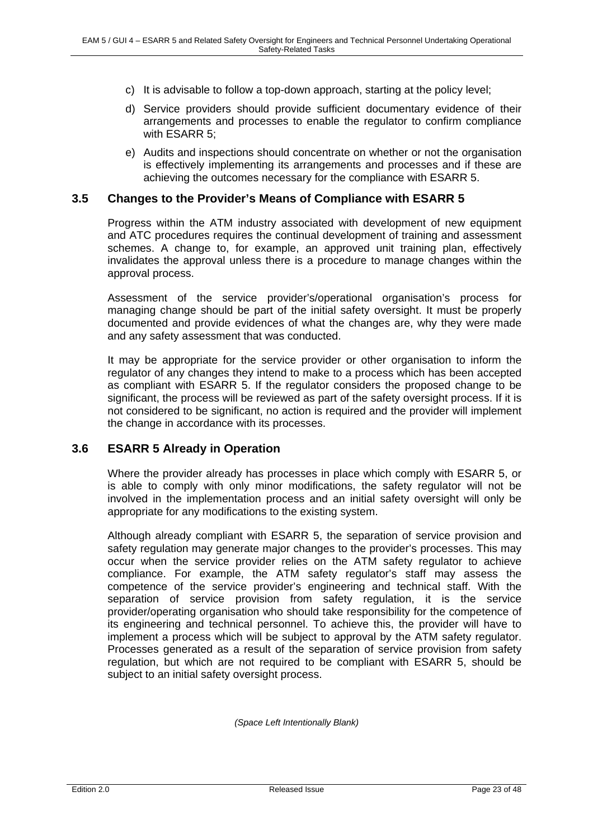- c) It is advisable to follow a top-down approach, starting at the policy level;
- d) Service providers should provide sufficient documentary evidence of their arrangements and processes to enable the regulator to confirm compliance with ESARR 5;
- e) Audits and inspections should concentrate on whether or not the organisation is effectively implementing its arrangements and processes and if these are achieving the outcomes necessary for the compliance with ESARR 5.

### **3.5 Changes to the Provider's Means of Compliance with ESARR 5**

Progress within the ATM industry associated with development of new equipment and ATC procedures requires the continual development of training and assessment schemes. A change to, for example, an approved unit training plan, effectively invalidates the approval unless there is a procedure to manage changes within the approval process.

Assessment of the service provider's/operational organisation's process for managing change should be part of the initial safety oversight. It must be properly documented and provide evidences of what the changes are, why they were made and any safety assessment that was conducted.

It may be appropriate for the service provider or other organisation to inform the regulator of any changes they intend to make to a process which has been accepted as compliant with ESARR 5. If the regulator considers the proposed change to be significant, the process will be reviewed as part of the safety oversight process. If it is not considered to be significant, no action is required and the provider will implement the change in accordance with its processes.

### **3.6 ESARR 5 Already in Operation**

Where the provider already has processes in place which comply with ESARR 5, or is able to comply with only minor modifications, the safety regulator will not be involved in the implementation process and an initial safety oversight will only be appropriate for any modifications to the existing system.

Although already compliant with ESARR 5, the separation of service provision and safety regulation may generate major changes to the provider's processes. This may occur when the service provider relies on the ATM safety regulator to achieve compliance. For example, the ATM safety regulator's staff may assess the competence of the service provider's engineering and technical staff. With the separation of service provision from safety regulation, it is the service provider/operating organisation who should take responsibility for the competence of its engineering and technical personnel. To achieve this, the provider will have to implement a process which will be subject to approval by the ATM safety regulator. Processes generated as a result of the separation of service provision from safety regulation, but which are not required to be compliant with ESARR 5, should be subject to an initial safety oversight process.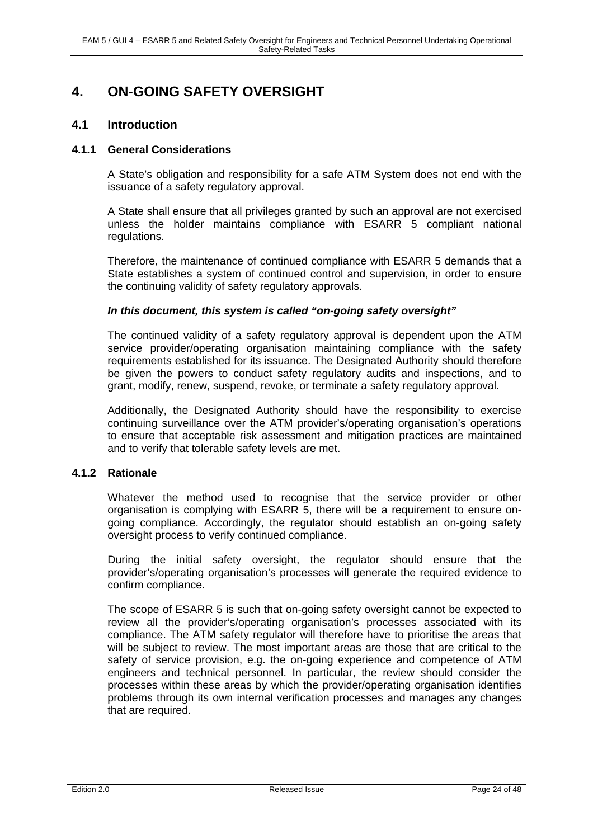# **4. ON-GOING SAFETY OVERSIGHT**

### **4.1 Introduction**

### **4.1.1 General Considerations**

A State's obligation and responsibility for a safe ATM System does not end with the issuance of a safety regulatory approval.

A State shall ensure that all privileges granted by such an approval are not exercised unless the holder maintains compliance with ESARR 5 compliant national regulations.

Therefore, the maintenance of continued compliance with ESARR 5 demands that a State establishes a system of continued control and supervision, in order to ensure the continuing validity of safety regulatory approvals.

### *In this document, this system is called "on-going safety oversight"*

The continued validity of a safety regulatory approval is dependent upon the ATM service provider/operating organisation maintaining compliance with the safety requirements established for its issuance. The Designated Authority should therefore be given the powers to conduct safety regulatory audits and inspections, and to grant, modify, renew, suspend, revoke, or terminate a safety regulatory approval.

Additionally, the Designated Authority should have the responsibility to exercise continuing surveillance over the ATM provider's/operating organisation's operations to ensure that acceptable risk assessment and mitigation practices are maintained and to verify that tolerable safety levels are met.

### **4.1.2 Rationale**

Whatever the method used to recognise that the service provider or other organisation is complying with ESARR 5, there will be a requirement to ensure ongoing compliance. Accordingly, the regulator should establish an on-going safety oversight process to verify continued compliance.

During the initial safety oversight, the regulator should ensure that the provider's/operating organisation's processes will generate the required evidence to confirm compliance.

The scope of ESARR 5 is such that on-going safety oversight cannot be expected to review all the provider's/operating organisation's processes associated with its compliance. The ATM safety regulator will therefore have to prioritise the areas that will be subject to review. The most important areas are those that are critical to the safety of service provision, e.g. the on-going experience and competence of ATM engineers and technical personnel. In particular, the review should consider the processes within these areas by which the provider/operating organisation identifies problems through its own internal verification processes and manages any changes that are required.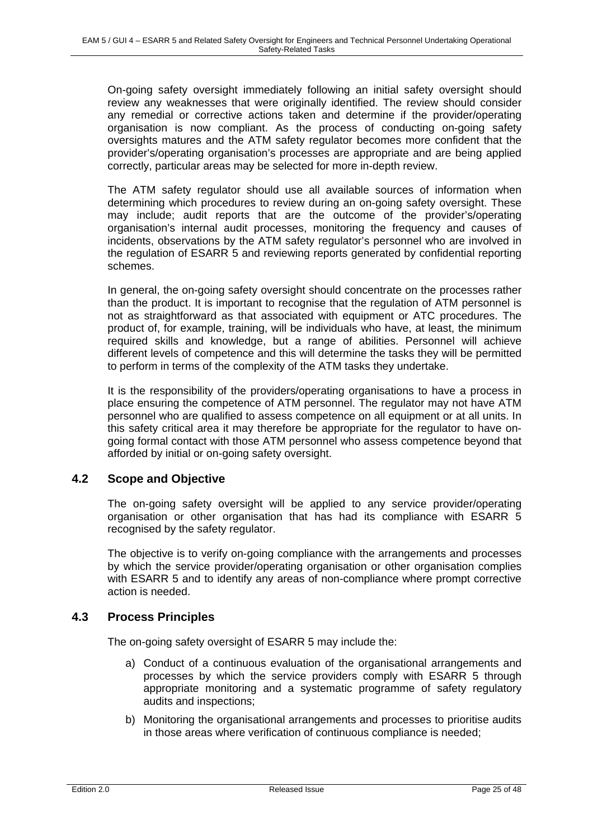On-going safety oversight immediately following an initial safety oversight should review any weaknesses that were originally identified. The review should consider any remedial or corrective actions taken and determine if the provider/operating organisation is now compliant. As the process of conducting on-going safety oversights matures and the ATM safety regulator becomes more confident that the provider's/operating organisation's processes are appropriate and are being applied correctly, particular areas may be selected for more in-depth review.

The ATM safety regulator should use all available sources of information when determining which procedures to review during an on-going safety oversight. These may include; audit reports that are the outcome of the provider's/operating organisation's internal audit processes, monitoring the frequency and causes of incidents, observations by the ATM safety regulator's personnel who are involved in the regulation of ESARR 5 and reviewing reports generated by confidential reporting schemes.

In general, the on-going safety oversight should concentrate on the processes rather than the product. It is important to recognise that the regulation of ATM personnel is not as straightforward as that associated with equipment or ATC procedures. The product of, for example, training, will be individuals who have, at least, the minimum required skills and knowledge, but a range of abilities. Personnel will achieve different levels of competence and this will determine the tasks they will be permitted to perform in terms of the complexity of the ATM tasks they undertake.

It is the responsibility of the providers/operating organisations to have a process in place ensuring the competence of ATM personnel. The regulator may not have ATM personnel who are qualified to assess competence on all equipment or at all units. In this safety critical area it may therefore be appropriate for the regulator to have ongoing formal contact with those ATM personnel who assess competence beyond that afforded by initial or on-going safety oversight.

# **4.2 Scope and Objective**

The on-going safety oversight will be applied to any service provider/operating organisation or other organisation that has had its compliance with ESARR 5 recognised by the safety regulator.

The objective is to verify on-going compliance with the arrangements and processes by which the service provider/operating organisation or other organisation complies with ESARR 5 and to identify any areas of non-compliance where prompt corrective action is needed.

### **4.3 Process Principles**

The on-going safety oversight of ESARR 5 may include the:

- a) Conduct of a continuous evaluation of the organisational arrangements and processes by which the service providers comply with ESARR 5 through appropriate monitoring and a systematic programme of safety regulatory audits and inspections;
- b) Monitoring the organisational arrangements and processes to prioritise audits in those areas where verification of continuous compliance is needed;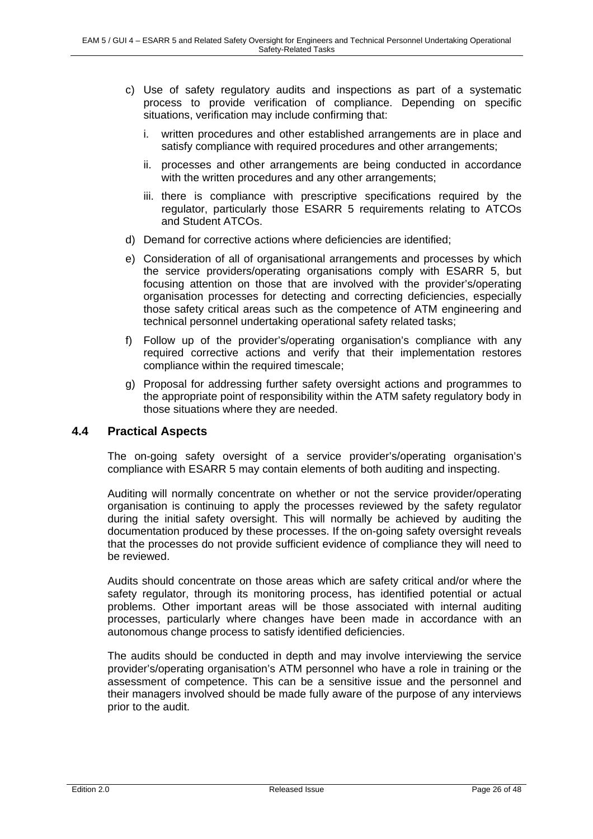- c) Use of safety regulatory audits and inspections as part of a systematic process to provide verification of compliance. Depending on specific situations, verification may include confirming that:
	- i. written procedures and other established arrangements are in place and satisfy compliance with required procedures and other arrangements;
	- ii. processes and other arrangements are being conducted in accordance with the written procedures and any other arrangements;
	- iii. there is compliance with prescriptive specifications required by the regulator, particularly those ESARR 5 requirements relating to ATCOs and Student ATCOs.
- d) Demand for corrective actions where deficiencies are identified;
- e) Consideration of all of organisational arrangements and processes by which the service providers/operating organisations comply with ESARR 5, but focusing attention on those that are involved with the provider's/operating organisation processes for detecting and correcting deficiencies, especially those safety critical areas such as the competence of ATM engineering and technical personnel undertaking operational safety related tasks;
- f) Follow up of the provider's/operating organisation's compliance with any required corrective actions and verify that their implementation restores compliance within the required timescale;
- g) Proposal for addressing further safety oversight actions and programmes to the appropriate point of responsibility within the ATM safety regulatory body in those situations where they are needed.

### **4.4 Practical Aspects**

The on-going safety oversight of a service provider's/operating organisation's compliance with ESARR 5 may contain elements of both auditing and inspecting.

Auditing will normally concentrate on whether or not the service provider/operating organisation is continuing to apply the processes reviewed by the safety regulator during the initial safety oversight. This will normally be achieved by auditing the documentation produced by these processes. If the on-going safety oversight reveals that the processes do not provide sufficient evidence of compliance they will need to be reviewed.

Audits should concentrate on those areas which are safety critical and/or where the safety regulator, through its monitoring process, has identified potential or actual problems. Other important areas will be those associated with internal auditing processes, particularly where changes have been made in accordance with an autonomous change process to satisfy identified deficiencies.

The audits should be conducted in depth and may involve interviewing the service provider's/operating organisation's ATM personnel who have a role in training or the assessment of competence. This can be a sensitive issue and the personnel and their managers involved should be made fully aware of the purpose of any interviews prior to the audit.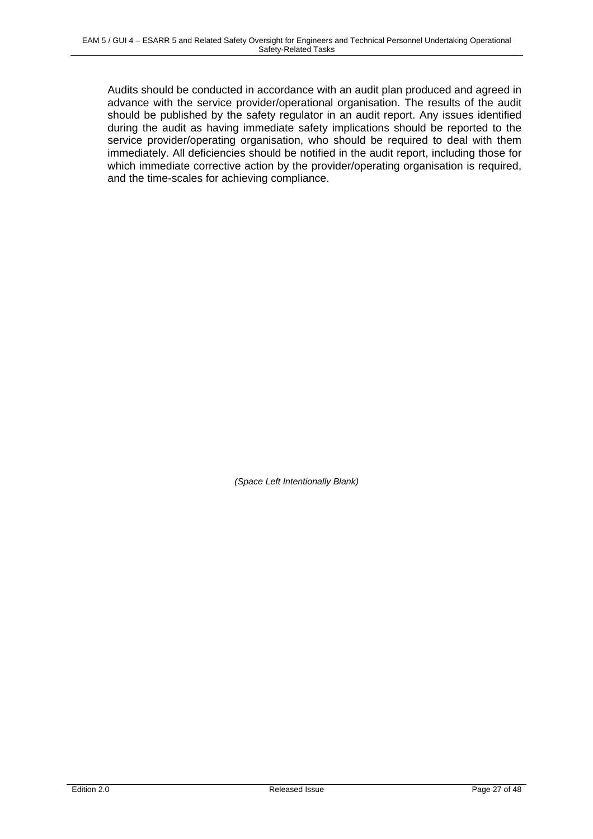Audits should be conducted in accordance with an audit plan produced and agreed in advance with the service provider/operational organisation. The results of the audit should be published by the safety regulator in an audit report. Any issues identified during the audit as having immediate safety implications should be reported to the service provider/operating organisation, who should be required to deal with them immediately. All deficiencies should be notified in the audit report, including those for which immediate corrective action by the provider/operating organisation is required, and the time-scales for achieving compliance.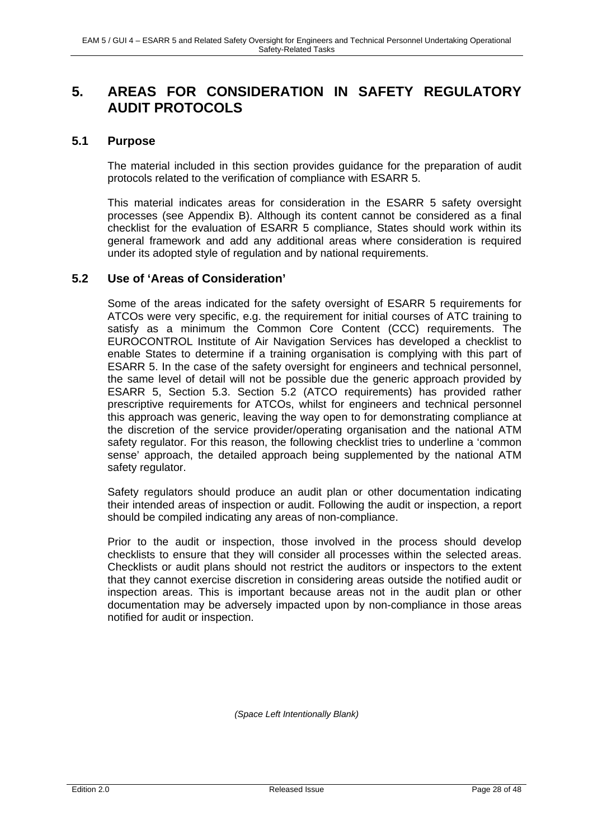# **5. AREAS FOR CONSIDERATION IN SAFETY REGULATORY AUDIT PROTOCOLS**

### **5.1 Purpose**

The material included in this section provides guidance for the preparation of audit protocols related to the verification of compliance with ESARR 5.

This material indicates areas for consideration in the ESARR 5 safety oversight processes (see Appendix B). Although its content cannot be considered as a final checklist for the evaluation of ESARR 5 compliance, States should work within its general framework and add any additional areas where consideration is required under its adopted style of regulation and by national requirements.

### **5.2 Use of 'Areas of Consideration'**

Some of the areas indicated for the safety oversight of ESARR 5 requirements for ATCOs were very specific, e.g. the requirement for initial courses of ATC training to satisfy as a minimum the Common Core Content (CCC) requirements. The EUROCONTROL Institute of Air Navigation Services has developed a checklist to enable States to determine if a training organisation is complying with this part of ESARR 5. In the case of the safety oversight for engineers and technical personnel, the same level of detail will not be possible due the generic approach provided by ESARR 5, Section 5.3. Section 5.2 (ATCO requirements) has provided rather prescriptive requirements for ATCOs, whilst for engineers and technical personnel this approach was generic, leaving the way open to for demonstrating compliance at the discretion of the service provider/operating organisation and the national ATM safety regulator. For this reason, the following checklist tries to underline a 'common sense' approach, the detailed approach being supplemented by the national ATM safety regulator.

Safety regulators should produce an audit plan or other documentation indicating their intended areas of inspection or audit. Following the audit or inspection, a report should be compiled indicating any areas of non-compliance.

Prior to the audit or inspection, those involved in the process should develop checklists to ensure that they will consider all processes within the selected areas. Checklists or audit plans should not restrict the auditors or inspectors to the extent that they cannot exercise discretion in considering areas outside the notified audit or inspection areas. This is important because areas not in the audit plan or other documentation may be adversely impacted upon by non-compliance in those areas notified for audit or inspection.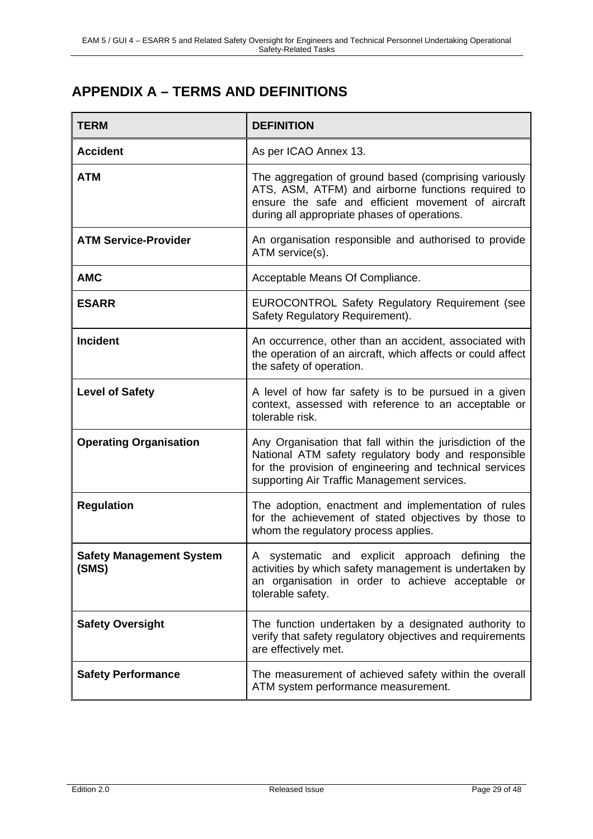# **APPENDIX A – TERMS AND DEFINITIONS**

| <b>TERM</b>                              | <b>DEFINITION</b>                                                                                                                                                                                                          |
|------------------------------------------|----------------------------------------------------------------------------------------------------------------------------------------------------------------------------------------------------------------------------|
| <b>Accident</b>                          | As per ICAO Annex 13.                                                                                                                                                                                                      |
| <b>ATM</b>                               | The aggregation of ground based (comprising variously<br>ATS, ASM, ATFM) and airborne functions required to<br>ensure the safe and efficient movement of aircraft<br>during all appropriate phases of operations.          |
| <b>ATM Service-Provider</b>              | An organisation responsible and authorised to provide<br>ATM service(s).                                                                                                                                                   |
| <b>AMC</b>                               | Acceptable Means Of Compliance.                                                                                                                                                                                            |
| <b>ESARR</b>                             | EUROCONTROL Safety Regulatory Requirement (see<br>Safety Regulatory Requirement).                                                                                                                                          |
| <b>Incident</b>                          | An occurrence, other than an accident, associated with<br>the operation of an aircraft, which affects or could affect<br>the safety of operation.                                                                          |
| <b>Level of Safety</b>                   | A level of how far safety is to be pursued in a given<br>context, assessed with reference to an acceptable or<br>tolerable risk.                                                                                           |
| <b>Operating Organisation</b>            | Any Organisation that fall within the jurisdiction of the<br>National ATM safety regulatory body and responsible<br>for the provision of engineering and technical services<br>supporting Air Traffic Management services. |
| <b>Regulation</b>                        | The adoption, enactment and implementation of rules<br>for the achievement of stated objectives by those to<br>whom the regulatory process applies.                                                                        |
| <b>Safety Management System</b><br>(SMS) | A systematic and explicit approach defining the<br>activities by which safety management is undertaken by<br>an organisation in order to achieve acceptable or<br>tolerable safety.                                        |
| <b>Safety Oversight</b>                  | The function undertaken by a designated authority to<br>verify that safety regulatory objectives and requirements<br>are effectively met.                                                                                  |
| <b>Safety Performance</b>                | The measurement of achieved safety within the overall<br>ATM system performance measurement.                                                                                                                               |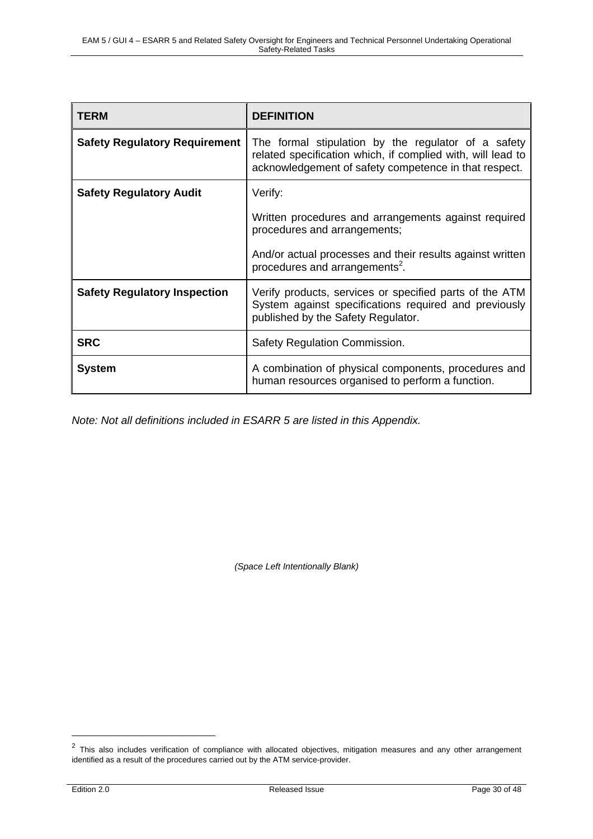| <b>TERM</b>                          | <b>DEFINITION</b>                                                                                                                                                           |  |  |
|--------------------------------------|-----------------------------------------------------------------------------------------------------------------------------------------------------------------------------|--|--|
| <b>Safety Regulatory Requirement</b> | The formal stipulation by the regulator of a safety<br>related specification which, if complied with, will lead to<br>acknowledgement of safety competence in that respect. |  |  |
| <b>Safety Regulatory Audit</b>       | Verify:                                                                                                                                                                     |  |  |
|                                      | Written procedures and arrangements against required<br>procedures and arrangements;                                                                                        |  |  |
|                                      | And/or actual processes and their results against written<br>procedures and arrangements <sup>2</sup> .                                                                     |  |  |
| <b>Safety Regulatory Inspection</b>  | Verify products, services or specified parts of the ATM<br>System against specifications required and previously<br>published by the Safety Regulator.                      |  |  |
| <b>SRC</b>                           | Safety Regulation Commission.                                                                                                                                               |  |  |
| <b>System</b>                        | A combination of physical components, procedures and<br>human resources organised to perform a function.                                                                    |  |  |

*Note: Not all definitions included in ESARR 5 are listed in this Appendix.* 

*(Space Left Intentionally Blank)* 

 $2$  This also includes verification of compliance with allocated objectives, mitigation measures and any other arrangement identified as a result of the procedures carried out by the ATM service-provider.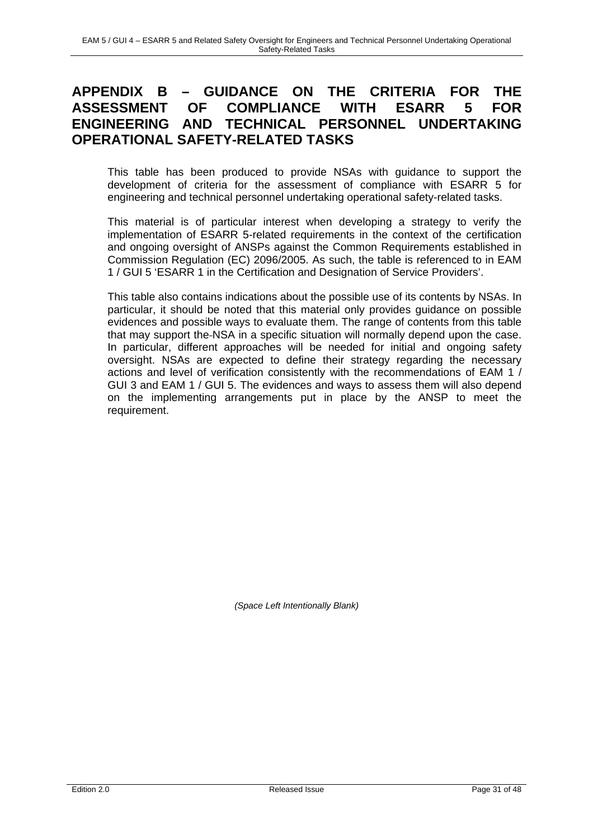# **APPENDIX B – GUIDANCE ON THE CRITERIA FOR THE ASSESSMENT OF COMPLIANCE WITH ESARR 5 FOR ENGINEERING AND TECHNICAL PERSONNEL UNDERTAKING OPERATIONAL SAFETY-RELATED TASKS**

This table has been produced to provide NSAs with guidance to support the development of criteria for the assessment of compliance with ESARR 5 for engineering and technical personnel undertaking operational safety-related tasks.

This material is of particular interest when developing a strategy to verify the implementation of ESARR 5-related requirements in the context of the certification and ongoing oversight of ANSPs against the Common Requirements established in Commission Regulation (EC) 2096/2005. As such, the table is referenced to in EAM 1 / GUI 5 'ESARR 1 in the Certification and Designation of Service Providers'.

This table also contains indications about the possible use of its contents by NSAs. In particular, it should be noted that this material only provides guidance on possible evidences and possible ways to evaluate them. The range of contents from this table that may support the NSA in a specific situation will normally depend upon the case. In particular, different approaches will be needed for initial and ongoing safety oversight. NSAs are expected to define their strategy regarding the necessary actions and level of verification consistently with the recommendations of EAM 1 / GUI 3 and EAM 1 / GUI 5. The evidences and ways to assess them will also depend on the implementing arrangements put in place by the ANSP to meet the requirement.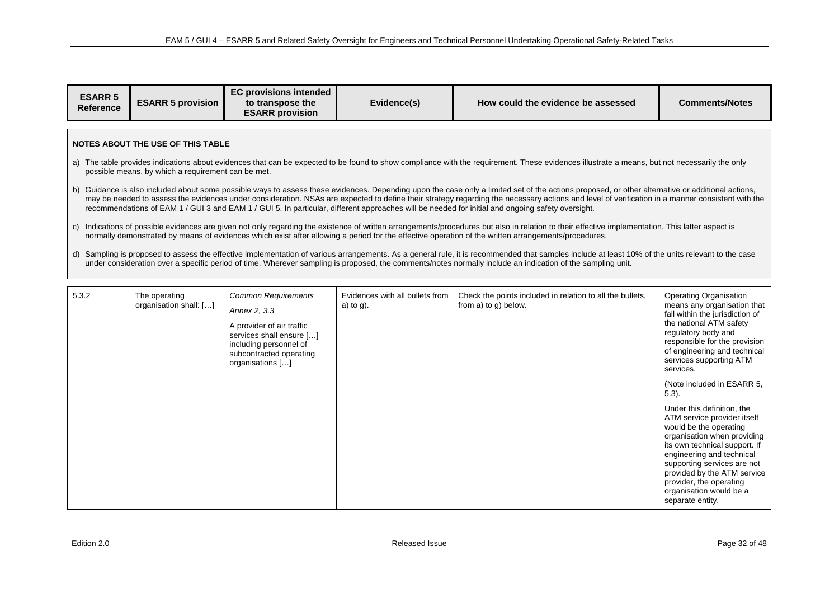| <b>ESARR 5</b><br><b>Reference</b> | <b>ESARR 5 provision</b> | <b>EC provisions intended</b><br>to transpose the<br><b>ESARR provision</b> | Evidence(s) | How could the evidence be assessed | <b>Comments/Notes</b> |
|------------------------------------|--------------------------|-----------------------------------------------------------------------------|-------------|------------------------------------|-----------------------|
|------------------------------------|--------------------------|-----------------------------------------------------------------------------|-------------|------------------------------------|-----------------------|

#### **NOTES ABOUT THE USE OF THIS TABLE**

- a) The table provides indications about evidences that can be expected to be found to show compliance with the requirement. These evidences illustrate a means, but not necessarily the only possible means, by which a requirement can be met.
- b) Guidance is also included about some possible ways to assess these evidences. Depending upon the case only a limited set of the actions proposed, or other alternative or additional actions, may be needed to assess the evidences under consideration. NSAs are expected to define their strategy regarding the necessary actions and level of verification in a manner consistent with the recommendations of EAM 1 / GUI 3 and EAM 1 / GUI 5. In particular, different approaches will be needed for initial and ongoing safety oversight.
- c) Indications of possible evidences are given not only regarding the existence of written arrangements/procedures but also in relation to their effective implementation. This latter aspect is normally demonstrated by means of evidences which exist after allowing a period for the effective operation of the written arrangements/procedures.
- d) Sampling is proposed to assess the effective implementation of various arrangements. As a general rule, it is recommended that samples include at least 10% of the units relevant to the case under consideration over a specific period of time. Wherever sampling is proposed, the comments/notes normally include an indication of the sampling unit.

| 5.3.2 | The operating<br>organisation shall: [] | <b>Common Requirements</b><br>Annex 2, 3.3<br>A provider of air traffic<br>services shall ensure []<br>including personnel of<br>subcontracted operating<br>organisations [] | Evidences with all bullets from<br>a) to $g$ ). | Check the points included in relation to all the bullets,<br>from a) to g) below. | <b>Operating Organisation</b><br>means any organisation that<br>fall within the jurisdiction of<br>the national ATM safety<br>regulatory body and<br>responsible for the provision<br>of engineering and technical<br>services supporting ATM<br>services.<br>(Note included in ESARR 5,<br>$5.3$ ).<br>Under this definition, the<br>ATM service provider itself<br>would be the operating<br>organisation when providing<br>its own technical support. If<br>engineering and technical |
|-------|-----------------------------------------|------------------------------------------------------------------------------------------------------------------------------------------------------------------------------|-------------------------------------------------|-----------------------------------------------------------------------------------|------------------------------------------------------------------------------------------------------------------------------------------------------------------------------------------------------------------------------------------------------------------------------------------------------------------------------------------------------------------------------------------------------------------------------------------------------------------------------------------|
|       |                                         |                                                                                                                                                                              |                                                 |                                                                                   | supporting services are not<br>provided by the ATM service<br>provider, the operating<br>organisation would be a<br>separate entity.                                                                                                                                                                                                                                                                                                                                                     |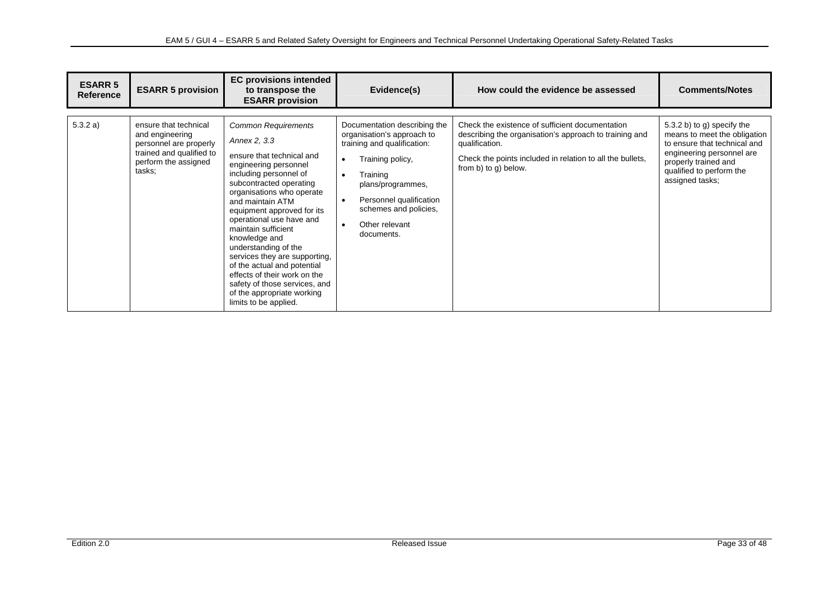| <b>ESARR 5</b><br><b>Reference</b> | <b>ESARR 5 provision</b>                                                                                                         | <b>EC provisions intended</b><br>to transpose the<br><b>ESARR provision</b>                                                                                                                                                                                                                                                                                                                                                                                                                                              | Evidence(s)                                                                                                                                                                                                                                                                            | How could the evidence be assessed                                                                                                                                                                               | <b>Comments/Notes</b>                                                                                                                                                                          |
|------------------------------------|----------------------------------------------------------------------------------------------------------------------------------|--------------------------------------------------------------------------------------------------------------------------------------------------------------------------------------------------------------------------------------------------------------------------------------------------------------------------------------------------------------------------------------------------------------------------------------------------------------------------------------------------------------------------|----------------------------------------------------------------------------------------------------------------------------------------------------------------------------------------------------------------------------------------------------------------------------------------|------------------------------------------------------------------------------------------------------------------------------------------------------------------------------------------------------------------|------------------------------------------------------------------------------------------------------------------------------------------------------------------------------------------------|
| 5.3.2 a)                           | ensure that technical<br>and engineering<br>personnel are properly<br>trained and qualified to<br>perform the assigned<br>tasks; | <b>Common Requirements</b><br>Annex 2, 3.3<br>ensure that technical and<br>engineering personnel<br>including personnel of<br>subcontracted operating<br>organisations who operate<br>and maintain ATM<br>equipment approved for its<br>operational use have and<br>maintain sufficient<br>knowledge and<br>understanding of the<br>services they are supporting,<br>of the actual and potential<br>effects of their work on the<br>safety of those services, and<br>of the appropriate working<br>limits to be applied. | Documentation describing the<br>organisation's approach to<br>training and qualification:<br>Training policy,<br>$\bullet$<br>Training<br>$\bullet$<br>plans/programmes,<br>Personnel qualification<br>$\bullet$<br>schemes and policies,<br>Other relevant<br>$\bullet$<br>documents. | Check the existence of sufficient documentation<br>describing the organisation's approach to training and<br>qualification.<br>Check the points included in relation to all the bullets,<br>from b) to g) below. | 5.3.2 b) to g) specify the<br>means to meet the obligation<br>to ensure that technical and<br>engineering personnel are<br>properly trained and<br>qualified to perform the<br>assigned tasks; |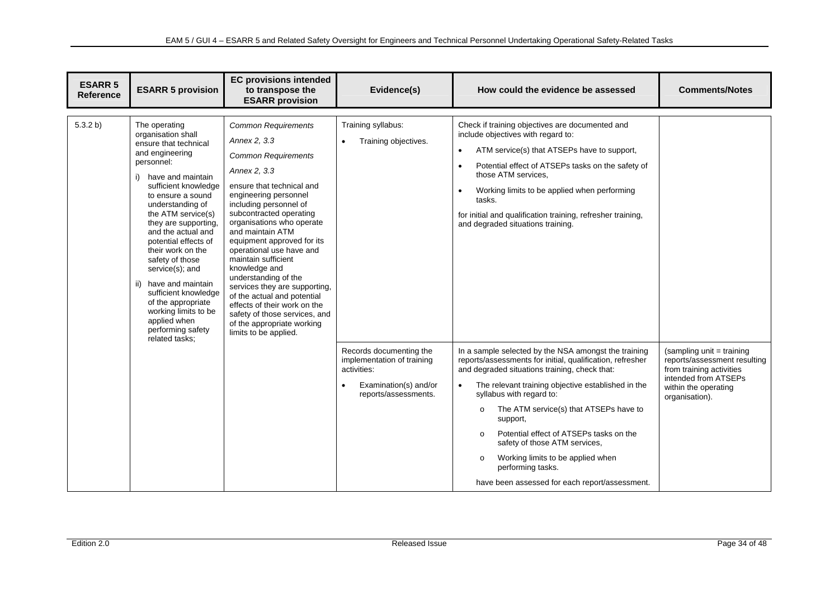| <b>ESARR 5</b><br><b>Reference</b> | <b>ESARR 5 provision</b>                                                                                                                                                                                                                                                                                                                                                                                                                                                                            | <b>EC provisions intended</b><br>to transpose the<br><b>ESARR provision</b>                                                                                                                                                                                                                                                                                                                                                                                                                                                                                             | Evidence(s)                                                                                                                                                                      | How could the evidence be assessed                                                                                                                                                                                                                                                                                                                                                                                                                                                                                                                                                                                                                                                                                                                                                                                                                                                                                      | <b>Comments/Notes</b>                                                                                                                                   |
|------------------------------------|-----------------------------------------------------------------------------------------------------------------------------------------------------------------------------------------------------------------------------------------------------------------------------------------------------------------------------------------------------------------------------------------------------------------------------------------------------------------------------------------------------|-------------------------------------------------------------------------------------------------------------------------------------------------------------------------------------------------------------------------------------------------------------------------------------------------------------------------------------------------------------------------------------------------------------------------------------------------------------------------------------------------------------------------------------------------------------------------|----------------------------------------------------------------------------------------------------------------------------------------------------------------------------------|-------------------------------------------------------------------------------------------------------------------------------------------------------------------------------------------------------------------------------------------------------------------------------------------------------------------------------------------------------------------------------------------------------------------------------------------------------------------------------------------------------------------------------------------------------------------------------------------------------------------------------------------------------------------------------------------------------------------------------------------------------------------------------------------------------------------------------------------------------------------------------------------------------------------------|---------------------------------------------------------------------------------------------------------------------------------------------------------|
| 5.3.2 b)                           | The operating<br>organisation shall<br>ensure that technical<br>and engineering<br>personnel:<br>have and maintain<br>sufficient knowledge<br>to ensure a sound<br>understanding of<br>the ATM service(s)<br>they are supporting,<br>and the actual and<br>potential effects of<br>their work on the<br>safety of those<br>service(s); and<br>have and maintain<br>ii)<br>sufficient knowledge<br>of the appropriate<br>working limits to be<br>applied when<br>performing safety<br>related tasks; | <b>Common Requirements</b><br>Annex 2, 3, 3<br><b>Common Requirements</b><br>Annex 2, 3.3<br>ensure that technical and<br>engineering personnel<br>including personnel of<br>subcontracted operating<br>organisations who operate<br>and maintain ATM<br>equipment approved for its<br>operational use have and<br>maintain sufficient<br>knowledge and<br>understanding of the<br>services they are supporting,<br>of the actual and potential<br>effects of their work on the<br>safety of those services, and<br>of the appropriate working<br>limits to be applied. | Training syllabus:<br>Training objectives.<br>$\bullet$<br>Records documenting the<br>implementation of training<br>activities:<br>Examination(s) and/or<br>reports/assessments. | Check if training objectives are documented and<br>include objectives with regard to:<br>ATM service(s) that ATSEPs have to support,<br>$\bullet$<br>Potential effect of ATSEPs tasks on the safety of<br>$\bullet$<br>those ATM services.<br>Working limits to be applied when performing<br>$\bullet$<br>tasks.<br>for initial and qualification training, refresher training,<br>and degraded situations training.<br>In a sample selected by the NSA amongst the training<br>reports/assessments for initial, qualification, refresher<br>and degraded situations training, check that:<br>The relevant training objective established in the<br>$\bullet$<br>syllabus with regard to:<br>The ATM service(s) that ATSEPs have to<br>$\circ$<br>support,<br>Potential effect of ATSEPs tasks on the<br>$\circ$<br>safety of those ATM services,<br>Working limits to be applied when<br>$\circ$<br>performing tasks. | (sampling unit = training<br>reports/assessment resulting<br>from training activities<br>intended from ATSEPs<br>within the operating<br>organisation). |
|                                    |                                                                                                                                                                                                                                                                                                                                                                                                                                                                                                     |                                                                                                                                                                                                                                                                                                                                                                                                                                                                                                                                                                         |                                                                                                                                                                                  | have been assessed for each report/assessment.                                                                                                                                                                                                                                                                                                                                                                                                                                                                                                                                                                                                                                                                                                                                                                                                                                                                          |                                                                                                                                                         |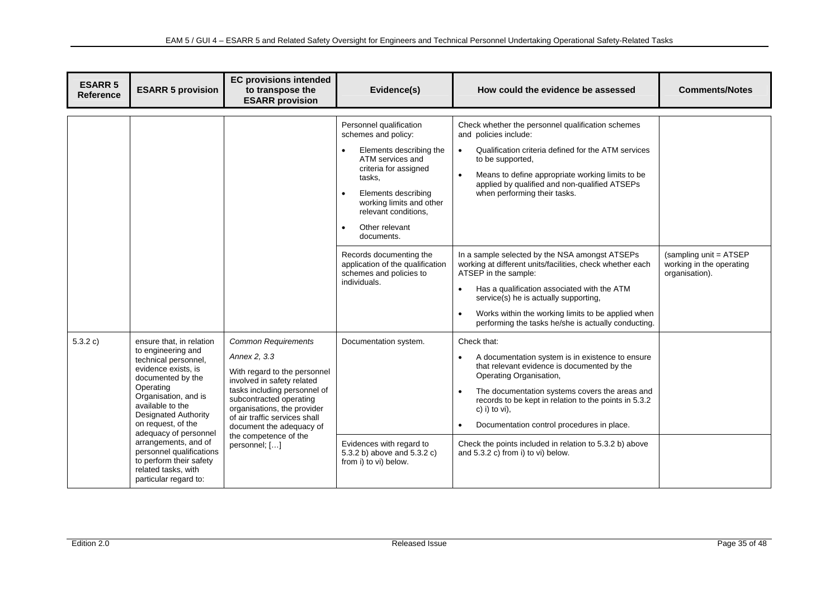| <b>ESARR 5</b><br><b>Reference</b> | <b>ESARR 5 provision</b>                                                                                                                                                                                                         | <b>EC provisions intended</b><br>to transpose the<br><b>ESARR provision</b>                                                                                                                                                                                     | Evidence(s)                                                                                                                                                                                                                                                                                                                          | How could the evidence be assessed                                                                                                                                                                                                                                                                                                                                                                                                  | <b>Comments/Notes</b>                              |
|------------------------------------|----------------------------------------------------------------------------------------------------------------------------------------------------------------------------------------------------------------------------------|-----------------------------------------------------------------------------------------------------------------------------------------------------------------------------------------------------------------------------------------------------------------|--------------------------------------------------------------------------------------------------------------------------------------------------------------------------------------------------------------------------------------------------------------------------------------------------------------------------------------|-------------------------------------------------------------------------------------------------------------------------------------------------------------------------------------------------------------------------------------------------------------------------------------------------------------------------------------------------------------------------------------------------------------------------------------|----------------------------------------------------|
|                                    |                                                                                                                                                                                                                                  |                                                                                                                                                                                                                                                                 | Personnel qualification<br>schemes and policy:<br>Elements describing the<br>ATM services and<br>criteria for assigned<br>tasks,<br>Elements describing<br>$\bullet$<br>working limits and other<br>relevant conditions,<br>Other relevant<br>$\bullet$<br>documents.<br>Records documenting the<br>application of the qualification | Check whether the personnel qualification schemes<br>and policies include:<br>Qualification criteria defined for the ATM services<br>$\bullet$<br>to be supported,<br>Means to define appropriate working limits to be<br>$\bullet$<br>applied by qualified and non-qualified ATSEPs<br>when performing their tasks.<br>In a sample selected by the NSA amongst ATSEPs<br>working at different units/facilities, check whether each | (sampling unit = ATSEP<br>working in the operating |
|                                    |                                                                                                                                                                                                                                  |                                                                                                                                                                                                                                                                 | schemes and policies to<br>individuals.                                                                                                                                                                                                                                                                                              | ATSEP in the sample:<br>Has a qualification associated with the ATM<br>service(s) he is actually supporting,<br>Works within the working limits to be applied when<br>$\bullet$<br>performing the tasks he/she is actually conducting.                                                                                                                                                                                              | organisation).                                     |
| 5.3.2 c)                           | ensure that, in relation<br>to engineering and<br>technical personnel,<br>evidence exists, is<br>documented by the<br>Operating<br>Organisation, and is<br>available to the<br><b>Designated Authority</b><br>on request, of the | <b>Common Requirements</b><br>Annex 2, 3.3<br>With regard to the personnel<br>involved in safety related<br>tasks including personnel of<br>subcontracted operating<br>organisations, the provider<br>of air traffic services shall<br>document the adequacy of | Documentation system.                                                                                                                                                                                                                                                                                                                | Check that:<br>A documentation system is in existence to ensure<br>$\bullet$<br>that relevant evidence is documented by the<br>Operating Organisation,<br>The documentation systems covers the areas and<br>records to be kept in relation to the points in 5.3.2<br>c) i) to $vi$ ).<br>Documentation control procedures in place.<br>$\bullet$                                                                                    |                                                    |
|                                    | arrangements, and of<br>personnel qualifications<br>to perform their safety<br>related tasks, with<br>particular regard to:                                                                                                      | adequacy of personnel<br>the competence of the<br>personnel; []                                                                                                                                                                                                 | Evidences with regard to<br>5.3.2 b) above and 5.3.2 c)<br>from i) to vi) below.                                                                                                                                                                                                                                                     | Check the points included in relation to 5.3.2 b) above<br>and 5.3.2 c) from i) to vi) below.                                                                                                                                                                                                                                                                                                                                       |                                                    |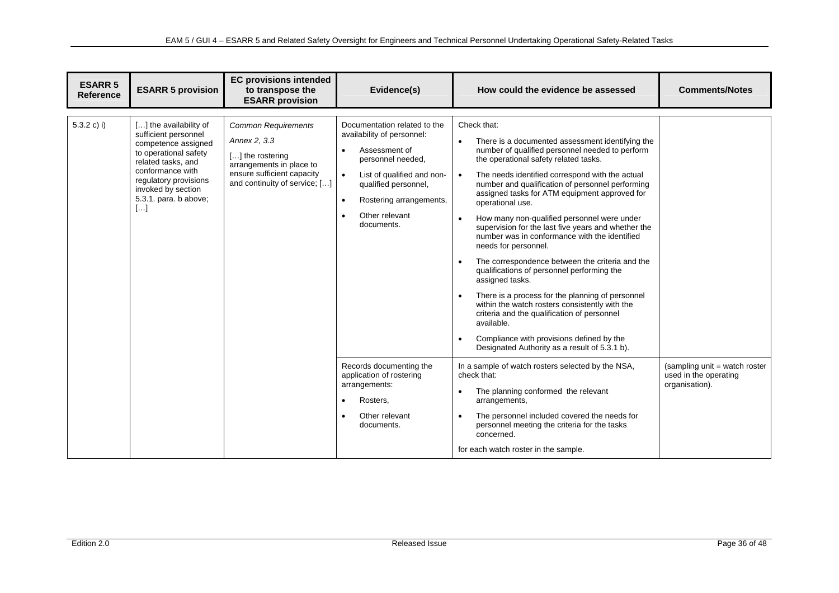| <b>ESARR 5</b><br><b>Reference</b> | <b>ESARR 5 provision</b>                                                                                                                                                                                                       | <b>EC provisions intended</b><br>to transpose the<br><b>ESARR provision</b>                                                                               | Evidence(s)                                                                                                                                                                                                                                              | How could the evidence be assessed                                                                                                                                                                                                                                                                                                                                                                                                                                                                                                                                                                                                                                                                                                                                                                                                                                                                                                                                                        | <b>Comments/Notes</b>                                                    |
|------------------------------------|--------------------------------------------------------------------------------------------------------------------------------------------------------------------------------------------------------------------------------|-----------------------------------------------------------------------------------------------------------------------------------------------------------|----------------------------------------------------------------------------------------------------------------------------------------------------------------------------------------------------------------------------------------------------------|-------------------------------------------------------------------------------------------------------------------------------------------------------------------------------------------------------------------------------------------------------------------------------------------------------------------------------------------------------------------------------------------------------------------------------------------------------------------------------------------------------------------------------------------------------------------------------------------------------------------------------------------------------------------------------------------------------------------------------------------------------------------------------------------------------------------------------------------------------------------------------------------------------------------------------------------------------------------------------------------|--------------------------------------------------------------------------|
| $5.3.2 c$ ) i)                     | [] the availability of<br>sufficient personnel<br>competence assigned<br>to operational safety<br>related tasks, and<br>conformance with<br>regulatory provisions<br>invoked by section<br>5.3.1. para. b above;<br>$[\ldots]$ | <b>Common Requirements</b><br>Annex 2, 3.3<br>[] the rostering<br>arrangements in place to<br>ensure sufficient capacity<br>and continuity of service; [] | Documentation related to the<br>availability of personnel:<br>Assessment of<br>$\bullet$<br>personnel needed,<br>List of qualified and non-<br>qualified personnel,<br>Rostering arrangements,<br>$\bullet$<br>Other relevant<br>$\bullet$<br>documents. | Check that:<br>There is a documented assessment identifying the<br>$\bullet$<br>number of qualified personnel needed to perform<br>the operational safety related tasks.<br>The needs identified correspond with the actual<br>$\bullet$<br>number and qualification of personnel performing<br>assigned tasks for ATM equipment approved for<br>operational use.<br>How many non-qualified personnel were under<br>$\bullet$<br>supervision for the last five years and whether the<br>number was in conformance with the identified<br>needs for personnel.<br>The correspondence between the criteria and the<br>$\bullet$<br>qualifications of personnel performing the<br>assigned tasks.<br>There is a process for the planning of personnel<br>$\bullet$<br>within the watch rosters consistently with the<br>criteria and the qualification of personnel<br>available.<br>Compliance with provisions defined by the<br>$\bullet$<br>Designated Authority as a result of 5.3.1 b). |                                                                          |
|                                    |                                                                                                                                                                                                                                |                                                                                                                                                           | Records documenting the<br>application of rostering<br>arrangements:<br>Rosters.<br>$\bullet$<br>Other relevant<br>$\bullet$<br>documents.                                                                                                               | In a sample of watch rosters selected by the NSA,<br>check that:<br>The planning conformed the relevant<br>$\bullet$<br>arrangements,<br>The personnel included covered the needs for<br>$\bullet$<br>personnel meeting the criteria for the tasks<br>concerned.<br>for each watch roster in the sample.                                                                                                                                                                                                                                                                                                                                                                                                                                                                                                                                                                                                                                                                                  | (sampling unit = watch roster<br>used in the operating<br>organisation). |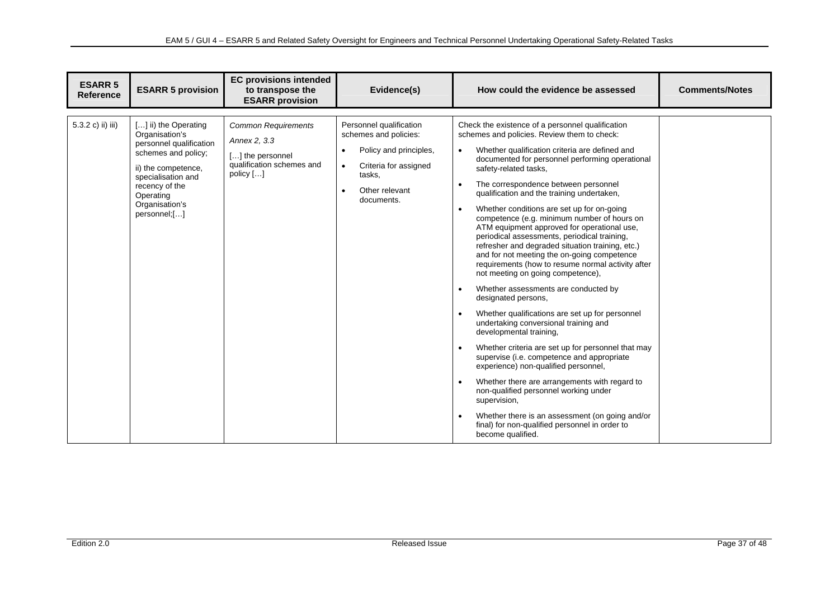| <b>ESARR 5</b><br><b>Reference</b> | <b>ESARR 5 provision</b>                                                                                                                                                                               | <b>EC provisions intended</b><br>to transpose the<br><b>ESARR</b> provision                              | Evidence(s)                                                                                                                                                                          | How could the evidence be assessed                                                                                                                                                                                                                                                                                                                                                                                                                                                                                                                                                                                                                                                                                                                                                                                                                                                                                                                                                                                                                                                                                                                                                                                                                                                                                                                  | <b>Comments/Notes</b> |
|------------------------------------|--------------------------------------------------------------------------------------------------------------------------------------------------------------------------------------------------------|----------------------------------------------------------------------------------------------------------|--------------------------------------------------------------------------------------------------------------------------------------------------------------------------------------|-----------------------------------------------------------------------------------------------------------------------------------------------------------------------------------------------------------------------------------------------------------------------------------------------------------------------------------------------------------------------------------------------------------------------------------------------------------------------------------------------------------------------------------------------------------------------------------------------------------------------------------------------------------------------------------------------------------------------------------------------------------------------------------------------------------------------------------------------------------------------------------------------------------------------------------------------------------------------------------------------------------------------------------------------------------------------------------------------------------------------------------------------------------------------------------------------------------------------------------------------------------------------------------------------------------------------------------------------------|-----------------------|
| 5.3.2 c) ii) iii)                  | [] ii) the Operating<br>Organisation's<br>personnel qualification<br>schemes and policy;<br>ii) the competence,<br>specialisation and<br>recency of the<br>Operating<br>Organisation's<br>personnel;[] | <b>Common Requirements</b><br>Annex 2, 3.3<br>[] the personnel<br>qualification schemes and<br>policy [] | Personnel qualification<br>schemes and policies:<br>Policy and principles,<br>$\bullet$<br>Criteria for assigned<br>$\bullet$<br>tasks,<br>Other relevant<br>$\bullet$<br>documents. | Check the existence of a personnel qualification<br>schemes and policies. Review them to check:<br>Whether qualification criteria are defined and<br>$\bullet$<br>documented for personnel performing operational<br>safety-related tasks,<br>The correspondence between personnel<br>$\bullet$<br>qualification and the training undertaken,<br>Whether conditions are set up for on-going<br>$\bullet$<br>competence (e.g. minimum number of hours on<br>ATM equipment approved for operational use,<br>periodical assessments, periodical training,<br>refresher and degraded situation training, etc.)<br>and for not meeting the on-going competence<br>requirements (how to resume normal activity after<br>not meeting on going competence),<br>Whether assessments are conducted by<br>$\bullet$<br>designated persons,<br>Whether qualifications are set up for personnel<br>undertaking conversional training and<br>developmental training,<br>Whether criteria are set up for personnel that may<br>$\bullet$<br>supervise (i.e. competence and appropriate<br>experience) non-qualified personnel,<br>Whether there are arrangements with regard to<br>non-qualified personnel working under<br>supervision,<br>Whether there is an assessment (on going and/or<br>final) for non-qualified personnel in order to<br>become qualified. |                       |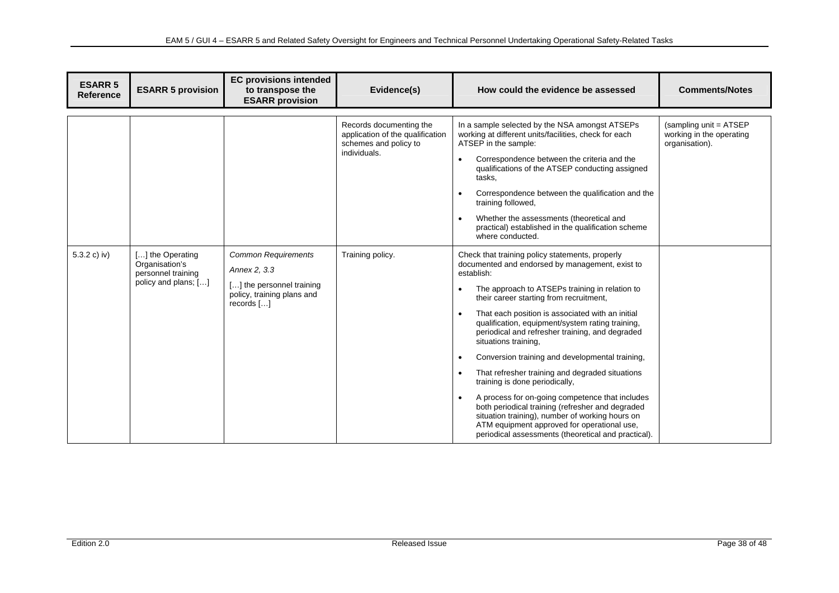| <b>ESARR 5</b><br><b>Reference</b> | <b>ESARR 5 provision</b>                                                         | <b>EC provisions intended</b><br>to transpose the<br><b>ESARR provision</b>                                           | Evidence(s)                                                                                          | How could the evidence be assessed                                                                                                                                                                                                                                                                                                                                                                                                                                                                                                                                                                                                                                                                                                                                                                                    | <b>Comments/Notes</b>                                                 |
|------------------------------------|----------------------------------------------------------------------------------|-----------------------------------------------------------------------------------------------------------------------|------------------------------------------------------------------------------------------------------|-----------------------------------------------------------------------------------------------------------------------------------------------------------------------------------------------------------------------------------------------------------------------------------------------------------------------------------------------------------------------------------------------------------------------------------------------------------------------------------------------------------------------------------------------------------------------------------------------------------------------------------------------------------------------------------------------------------------------------------------------------------------------------------------------------------------------|-----------------------------------------------------------------------|
|                                    |                                                                                  |                                                                                                                       | Records documenting the<br>application of the qualification<br>schemes and policy to<br>individuals. | In a sample selected by the NSA amongst ATSEPs<br>working at different units/facilities, check for each<br>ATSEP in the sample:<br>Correspondence between the criteria and the<br>qualifications of the ATSEP conducting assigned<br>tasks.<br>Correspondence between the qualification and the<br>training followed,<br>Whether the assessments (theoretical and<br>$\bullet$<br>practical) established in the qualification scheme<br>where conducted.                                                                                                                                                                                                                                                                                                                                                              | (sampling unit = ATSEP)<br>working in the operating<br>organisation). |
| 5.3.2 c) iv)                       | [] the Operating<br>Organisation's<br>personnel training<br>policy and plans; [] | <b>Common Requirements</b><br>Annex 2, 3.3<br>[] the personnel training<br>policy, training plans and<br>records $[]$ | Training policy.                                                                                     | Check that training policy statements, properly<br>documented and endorsed by management, exist to<br>establish:<br>The approach to ATSEPs training in relation to<br>their career starting from recruitment,<br>That each position is associated with an initial<br>qualification, equipment/system rating training,<br>periodical and refresher training, and degraded<br>situations training,<br>Conversion training and developmental training,<br>$\bullet$<br>That refresher training and degraded situations<br>training is done periodically,<br>A process for on-going competence that includes<br>both periodical training (refresher and degraded<br>situation training), number of working hours on<br>ATM equipment approved for operational use,<br>periodical assessments (theoretical and practical). |                                                                       |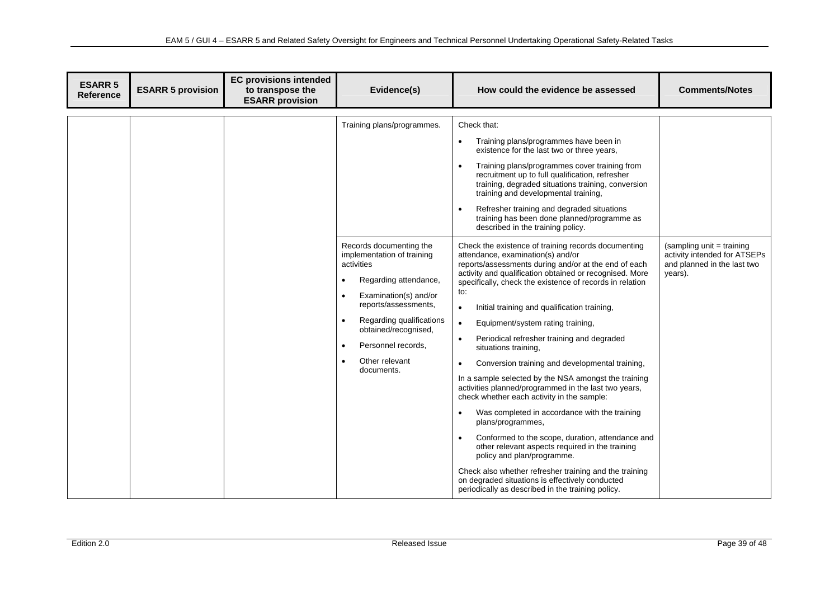| <b>ESARR 5</b><br><b>Reference</b> | <b>ESARR 5 provision</b> | <b>EC provisions intended</b><br>to transpose the<br><b>ESARR</b> provision | Evidence(s)                                                                                                                                                                                                                                                                                                              | How could the evidence be assessed                                                                                                                                                                                                                                                                                                                                                                                                                                                                                                                                                                                                                                                                                                                                                                                                                                                                                                                                                                                                                                             | <b>Comments/Notes</b>                                                                               |
|------------------------------------|--------------------------|-----------------------------------------------------------------------------|--------------------------------------------------------------------------------------------------------------------------------------------------------------------------------------------------------------------------------------------------------------------------------------------------------------------------|--------------------------------------------------------------------------------------------------------------------------------------------------------------------------------------------------------------------------------------------------------------------------------------------------------------------------------------------------------------------------------------------------------------------------------------------------------------------------------------------------------------------------------------------------------------------------------------------------------------------------------------------------------------------------------------------------------------------------------------------------------------------------------------------------------------------------------------------------------------------------------------------------------------------------------------------------------------------------------------------------------------------------------------------------------------------------------|-----------------------------------------------------------------------------------------------------|
|                                    |                          |                                                                             | Training plans/programmes.                                                                                                                                                                                                                                                                                               | Check that:<br>Training plans/programmes have been in<br>$\bullet$<br>existence for the last two or three years,<br>Training plans/programmes cover training from<br>recruitment up to full qualification, refresher<br>training, degraded situations training, conversion<br>training and developmental training,<br>Refresher training and degraded situations<br>training has been done planned/programme as<br>described in the training policy.                                                                                                                                                                                                                                                                                                                                                                                                                                                                                                                                                                                                                           |                                                                                                     |
|                                    |                          |                                                                             | Records documenting the<br>implementation of training<br>activities<br>Regarding attendance,<br>$\bullet$<br>Examination(s) and/or<br>$\bullet$<br>reports/assessments,<br>$\bullet$<br>Regarding qualifications<br>obtained/recognised,<br>Personnel records.<br>$\bullet$<br>Other relevant<br>$\bullet$<br>documents. | Check the existence of training records documenting<br>attendance, examination(s) and/or<br>reports/assessments during and/or at the end of each<br>activity and qualification obtained or recognised. More<br>specifically, check the existence of records in relation<br>to:<br>Initial training and qualification training,<br>$\bullet$<br>Equipment/system rating training,<br>$\bullet$<br>Periodical refresher training and degraded<br>situations training,<br>Conversion training and developmental training,<br>$\bullet$<br>In a sample selected by the NSA amongst the training<br>activities planned/programmed in the last two years,<br>check whether each activity in the sample:<br>Was completed in accordance with the training<br>plans/programmes,<br>Conformed to the scope, duration, attendance and<br>other relevant aspects required in the training<br>policy and plan/programme.<br>Check also whether refresher training and the training<br>on degraded situations is effectively conducted<br>periodically as described in the training policy. | (sampling unit = training<br>activity intended for ATSEPs<br>and planned in the last two<br>years). |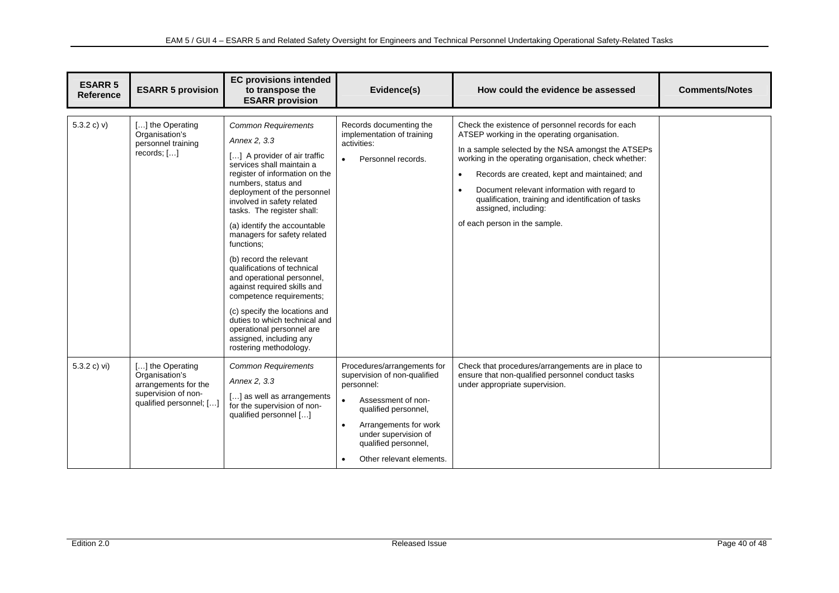| <b>ESARR 5</b><br><b>Reference</b> | <b>ESARR 5 provision</b>                                                                                     | <b>EC provisions intended</b><br>to transpose the<br><b>ESARR provision</b>                                                                                                                                                                                                                                                                                                                                                                                                                                                                                                                                                                     | Evidence(s)                                                                                                                                                                                                                                            | How could the evidence be assessed                                                                                                                                                                                                                                                                                                                                                                                                                          | <b>Comments/Notes</b> |
|------------------------------------|--------------------------------------------------------------------------------------------------------------|-------------------------------------------------------------------------------------------------------------------------------------------------------------------------------------------------------------------------------------------------------------------------------------------------------------------------------------------------------------------------------------------------------------------------------------------------------------------------------------------------------------------------------------------------------------------------------------------------------------------------------------------------|--------------------------------------------------------------------------------------------------------------------------------------------------------------------------------------------------------------------------------------------------------|-------------------------------------------------------------------------------------------------------------------------------------------------------------------------------------------------------------------------------------------------------------------------------------------------------------------------------------------------------------------------------------------------------------------------------------------------------------|-----------------------|
| 5.3.2 c) $v$ )                     | [] the Operating<br>Organisation's<br>personnel training<br>records; $[]$                                    | <b>Common Requirements</b><br>Annex 2, 3.3<br>[] A provider of air traffic<br>services shall maintain a<br>register of information on the<br>numbers, status and<br>deployment of the personnel<br>involved in safety related<br>tasks. The register shall:<br>(a) identify the accountable<br>managers for safety related<br>functions;<br>(b) record the relevant<br>qualifications of technical<br>and operational personnel,<br>against required skills and<br>competence requirements;<br>(c) specify the locations and<br>duties to which technical and<br>operational personnel are<br>assigned, including any<br>rostering methodology. | Records documenting the<br>implementation of training<br>activities:<br>Personnel records.<br>$\bullet$                                                                                                                                                | Check the existence of personnel records for each<br>ATSEP working in the operating organisation.<br>In a sample selected by the NSA amongst the ATSEPs<br>working in the operating organisation, check whether:<br>Records are created, kept and maintained; and<br>$\bullet$<br>Document relevant information with regard to<br>$\bullet$<br>qualification, training and identification of tasks<br>assigned, including:<br>of each person in the sample. |                       |
| 5.3.2 c) vi)                       | [] the Operating<br>Organisation's<br>arrangements for the<br>supervision of non-<br>qualified personnel; [] | <b>Common Requirements</b><br>Annex 2, 3.3<br>[] as well as arrangements<br>for the supervision of non-<br>qualified personnel []                                                                                                                                                                                                                                                                                                                                                                                                                                                                                                               | Procedures/arrangements for<br>supervision of non-qualified<br>personnel:<br>Assessment of non-<br>$\bullet$<br>qualified personnel,<br>Arrangements for work<br>$\bullet$<br>under supervision of<br>qualified personnel,<br>Other relevant elements. | Check that procedures/arrangements are in place to<br>ensure that non-qualified personnel conduct tasks<br>under appropriate supervision.                                                                                                                                                                                                                                                                                                                   |                       |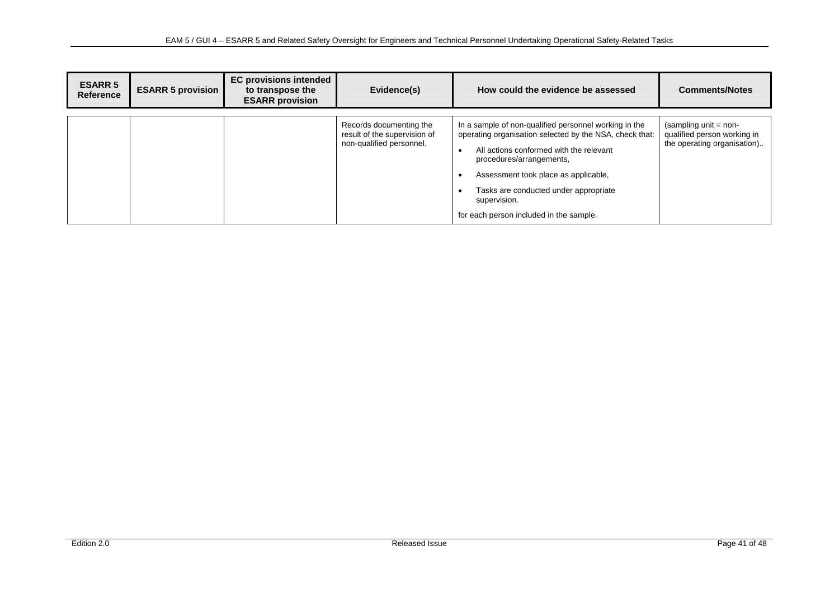| <b>ESARR 5</b><br><b>Reference</b> | <b>ESARR 5 provision</b> | <b>EC provisions intended</b><br>to transpose the<br><b>ESARR provision</b> | Evidence(s)                                                                         | How could the evidence be assessed                                                                                                                                                                                                                                                                                                  | <b>Comments/Notes</b>                                                                 |
|------------------------------------|--------------------------|-----------------------------------------------------------------------------|-------------------------------------------------------------------------------------|-------------------------------------------------------------------------------------------------------------------------------------------------------------------------------------------------------------------------------------------------------------------------------------------------------------------------------------|---------------------------------------------------------------------------------------|
|                                    |                          |                                                                             | Records documenting the<br>result of the supervision of<br>non-qualified personnel. | In a sample of non-qualified personnel working in the<br>operating organisation selected by the NSA, check that:<br>All actions conformed with the relevant<br>procedures/arrangements,<br>Assessment took place as applicable,<br>Tasks are conducted under appropriate<br>supervision.<br>for each person included in the sample. | $(sampling unit = non-$<br>qualified person working in<br>the operating organisation) |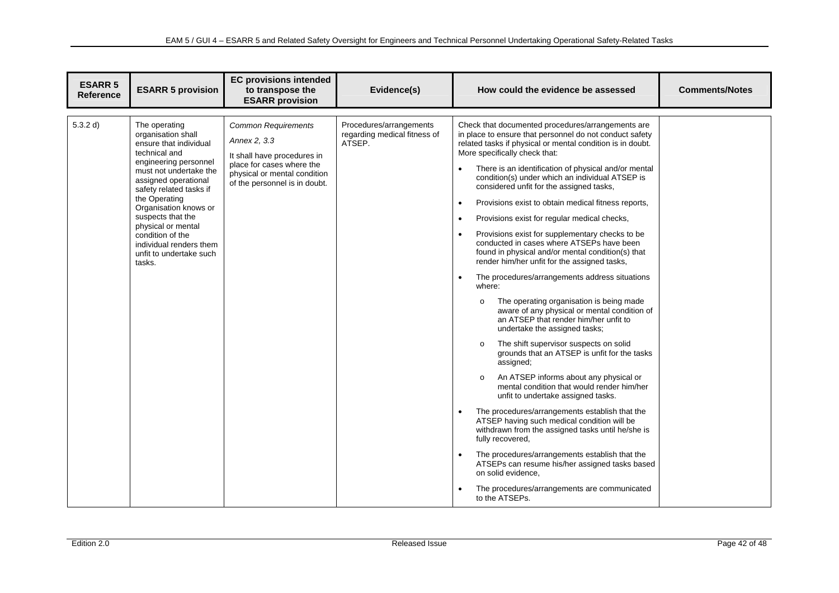| <b>ESARR 5</b><br><b>Reference</b> | <b>ESARR 5 provision</b>                                                                                                                                                                                                                                                                                                                                      | <b>EC provisions intended</b><br>to transpose the<br><b>ESARR provision</b>                                                                                             | Evidence(s)                                                       | How could the evidence be assessed                                                                                                                                                                                                                                                                                                                                                                                                                                                                                                                                                                                                                                                                                                                                                                                                                                                                                                                                                                                                                                                                                                                                                                                                                                                                                                                                                                                                                                                                                                                                                                                             | <b>Comments/Notes</b> |
|------------------------------------|---------------------------------------------------------------------------------------------------------------------------------------------------------------------------------------------------------------------------------------------------------------------------------------------------------------------------------------------------------------|-------------------------------------------------------------------------------------------------------------------------------------------------------------------------|-------------------------------------------------------------------|--------------------------------------------------------------------------------------------------------------------------------------------------------------------------------------------------------------------------------------------------------------------------------------------------------------------------------------------------------------------------------------------------------------------------------------------------------------------------------------------------------------------------------------------------------------------------------------------------------------------------------------------------------------------------------------------------------------------------------------------------------------------------------------------------------------------------------------------------------------------------------------------------------------------------------------------------------------------------------------------------------------------------------------------------------------------------------------------------------------------------------------------------------------------------------------------------------------------------------------------------------------------------------------------------------------------------------------------------------------------------------------------------------------------------------------------------------------------------------------------------------------------------------------------------------------------------------------------------------------------------------|-----------------------|
| 5.3.2 d)                           | The operating<br>organisation shall<br>ensure that individual<br>technical and<br>engineering personnel<br>must not undertake the<br>assigned operational<br>safety related tasks if<br>the Operating<br>Organisation knows or<br>suspects that the<br>physical or mental<br>condition of the<br>individual renders them<br>unfit to undertake such<br>tasks. | <b>Common Requirements</b><br>Annex 2, 3.3<br>It shall have procedures in<br>place for cases where the<br>physical or mental condition<br>of the personnel is in doubt. | Procedures/arrangements<br>regarding medical fitness of<br>ATSEP. | Check that documented procedures/arrangements are<br>in place to ensure that personnel do not conduct safety<br>related tasks if physical or mental condition is in doubt.<br>More specifically check that:<br>There is an identification of physical and/or mental<br>condition(s) under which an individual ATSEP is<br>considered unfit for the assigned tasks,<br>Provisions exist to obtain medical fitness reports,<br>$\bullet$<br>Provisions exist for regular medical checks,<br>$\bullet$<br>Provisions exist for supplementary checks to be<br>$\bullet$<br>conducted in cases where ATSEPs have been<br>found in physical and/or mental condition(s) that<br>render him/her unfit for the assigned tasks,<br>The procedures/arrangements address situations<br>$\bullet$<br>where:<br>The operating organisation is being made<br>$\circ$<br>aware of any physical or mental condition of<br>an ATSEP that render him/her unfit to<br>undertake the assigned tasks;<br>The shift supervisor suspects on solid<br>$\circ$<br>grounds that an ATSEP is unfit for the tasks<br>assigned;<br>An ATSEP informs about any physical or<br>$\Omega$<br>mental condition that would render him/her<br>unfit to undertake assigned tasks.<br>The procedures/arrangements establish that the<br>$\bullet$<br>ATSEP having such medical condition will be<br>withdrawn from the assigned tasks until he/she is<br>fully recovered,<br>The procedures/arrangements establish that the<br>ATSEPs can resume his/her assigned tasks based<br>on solid evidence,<br>The procedures/arrangements are communicated<br>to the ATSEPs. |                       |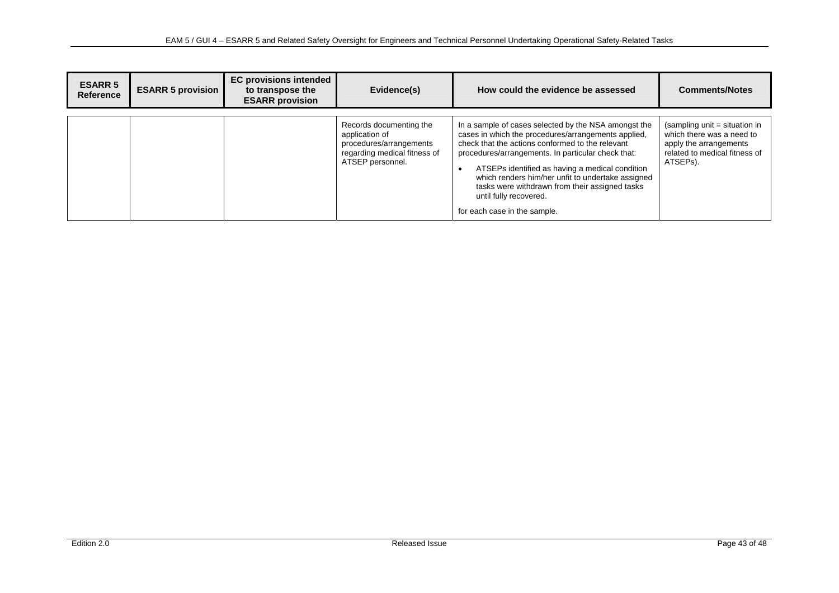| <b>ESARR 5</b><br><b>Reference</b> | <b>ESARR 5 provision</b> | <b>EC provisions intended</b><br>to transpose the<br><b>ESARR provision</b> | Evidence(s)                                                                                                              | How could the evidence be assessed                                                                                                                                                                                                                                                                                                                                                                                                        | <b>Comments/Notes</b>                                                                                                             |
|------------------------------------|--------------------------|-----------------------------------------------------------------------------|--------------------------------------------------------------------------------------------------------------------------|-------------------------------------------------------------------------------------------------------------------------------------------------------------------------------------------------------------------------------------------------------------------------------------------------------------------------------------------------------------------------------------------------------------------------------------------|-----------------------------------------------------------------------------------------------------------------------------------|
|                                    |                          |                                                                             | Records documenting the<br>application of<br>procedures/arrangements<br>regarding medical fitness of<br>ATSEP personnel. | In a sample of cases selected by the NSA amongst the<br>cases in which the procedures/arrangements applied,<br>check that the actions conformed to the relevant<br>procedures/arrangements. In particular check that:<br>ATSEPs identified as having a medical condition<br>which renders him/her unfit to undertake assigned<br>tasks were withdrawn from their assigned tasks<br>until fully recovered.<br>for each case in the sample. | (sampling unit = situation in<br>which there was a need to<br>apply the arrangements<br>related to medical fitness of<br>ATSEPs). |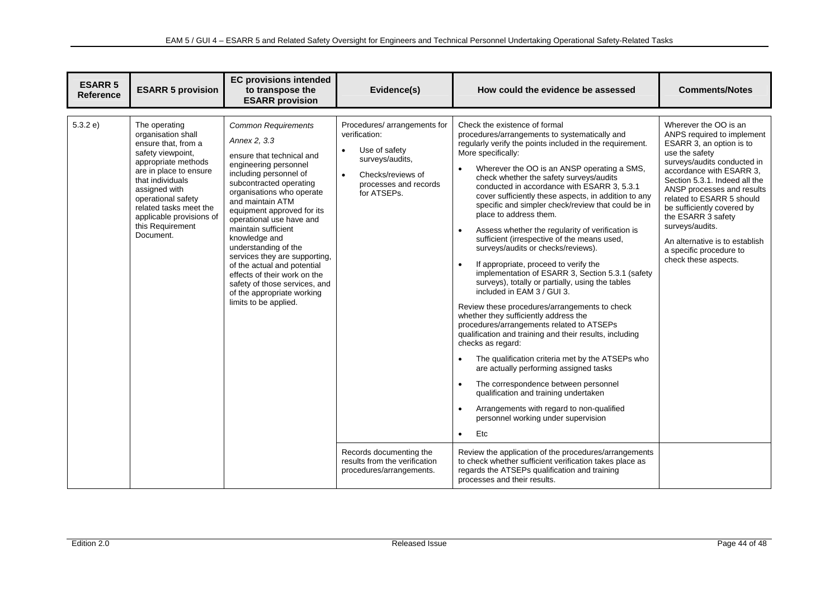| <b>ESARR 5</b><br><b>Reference</b> | <b>ESARR 5 provision</b>                                                                                                                                                                                                                                                           | <b>EC provisions intended</b><br>to transpose the<br><b>ESARR</b> provision                                                                                                                                                                                                                                                                                                                                                                                                                                              | Evidence(s)                                                                                                                                                                                                                                                      | How could the evidence be assessed                                                                                                                                                                                                                                                                                                                                                                                                                                                                                                                                                                                                                                                                                                                                                                                                                                                                                                                                                                                                                                                                                                                                                                                                                                                                                                                                                                                                                                                                                                                                         | <b>Comments/Notes</b>                                                                                                                                                                                                                                                                                                                                                                                                |
|------------------------------------|------------------------------------------------------------------------------------------------------------------------------------------------------------------------------------------------------------------------------------------------------------------------------------|--------------------------------------------------------------------------------------------------------------------------------------------------------------------------------------------------------------------------------------------------------------------------------------------------------------------------------------------------------------------------------------------------------------------------------------------------------------------------------------------------------------------------|------------------------------------------------------------------------------------------------------------------------------------------------------------------------------------------------------------------------------------------------------------------|----------------------------------------------------------------------------------------------------------------------------------------------------------------------------------------------------------------------------------------------------------------------------------------------------------------------------------------------------------------------------------------------------------------------------------------------------------------------------------------------------------------------------------------------------------------------------------------------------------------------------------------------------------------------------------------------------------------------------------------------------------------------------------------------------------------------------------------------------------------------------------------------------------------------------------------------------------------------------------------------------------------------------------------------------------------------------------------------------------------------------------------------------------------------------------------------------------------------------------------------------------------------------------------------------------------------------------------------------------------------------------------------------------------------------------------------------------------------------------------------------------------------------------------------------------------------------|----------------------------------------------------------------------------------------------------------------------------------------------------------------------------------------------------------------------------------------------------------------------------------------------------------------------------------------------------------------------------------------------------------------------|
| 5.3.2 e)                           | The operating<br>organisation shall<br>ensure that, from a<br>safety viewpoint,<br>appropriate methods<br>are in place to ensure<br>that individuals<br>assigned with<br>operational safety<br>related tasks meet the<br>applicable provisions of<br>this Requirement<br>Document. | <b>Common Requirements</b><br>Annex 2, 3.3<br>ensure that technical and<br>engineering personnel<br>including personnel of<br>subcontracted operating<br>organisations who operate<br>and maintain ATM<br>equipment approved for its<br>operational use have and<br>maintain sufficient<br>knowledge and<br>understanding of the<br>services they are supporting,<br>of the actual and potential<br>effects of their work on the<br>safety of those services, and<br>of the appropriate working<br>limits to be applied. | Procedures/ arrangements for<br>verification:<br>Use of safety<br>$\bullet$<br>surveys/audits,<br>$\bullet$<br>Checks/reviews of<br>processes and records<br>for ATSEPs.<br>Records documenting the<br>results from the verification<br>procedures/arrangements. | Check the existence of formal<br>procedures/arrangements to systematically and<br>regularly verify the points included in the requirement.<br>More specifically:<br>Wherever the OO is an ANSP operating a SMS,<br>$\bullet$<br>check whether the safety surveys/audits<br>conducted in accordance with ESARR 3, 5.3.1<br>cover sufficiently these aspects, in addition to any<br>specific and simpler check/review that could be in<br>place to address them.<br>Assess whether the regularity of verification is<br>$\bullet$<br>sufficient (irrespective of the means used,<br>surveys/audits or checks/reviews).<br>$\bullet$<br>If appropriate, proceed to verify the<br>implementation of ESARR 3, Section 5.3.1 (safety<br>surveys), totally or partially, using the tables<br>included in EAM 3 / GUI 3.<br>Review these procedures/arrangements to check<br>whether they sufficiently address the<br>procedures/arrangements related to ATSEPs<br>qualification and training and their results, including<br>checks as regard:<br>The qualification criteria met by the ATSEPs who<br>$\bullet$<br>are actually performing assigned tasks<br>The correspondence between personnel<br>$\bullet$<br>qualification and training undertaken<br>Arrangements with regard to non-qualified<br>$\bullet$<br>personnel working under supervision<br>Etc<br>$\bullet$<br>Review the application of the procedures/arrangements<br>to check whether sufficient verification takes place as<br>regards the ATSEPs qualification and training<br>processes and their results. | Wherever the OO is an<br>ANPS required to implement<br>ESARR 3, an option is to<br>use the safety<br>surveys/audits conducted in<br>accordance with ESARR 3,<br>Section 5.3.1. Indeed all the<br>ANSP processes and results<br>related to ESARR 5 should<br>be sufficiently covered by<br>the ESARR 3 safety<br>surveys/audits.<br>An alternative is to establish<br>a specific procedure to<br>check these aspects. |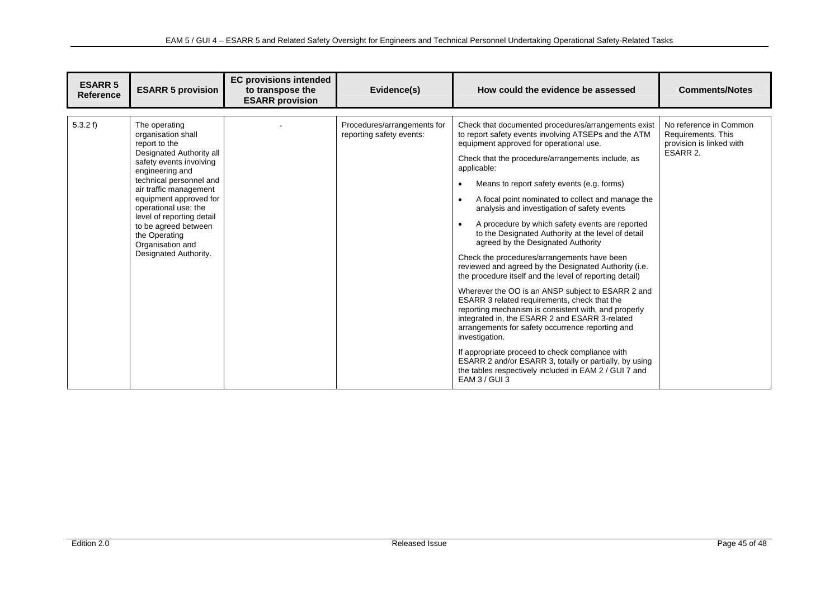| <b>ESARR 5</b><br><b>Reference</b> | <b>ESARR 5 provision</b>                                                                                                                                                                                                                                                                                                                                 | <b>EC provisions intended</b><br>to transpose the<br><b>ESARR provision</b> | Evidence(s)                                             | How could the evidence be assessed                                                                                                                                                                                                                                                                                                                                                                                                                                                                                                                                                                                                                                                                                                                                                                                                                                                                                                                                                                                                                                                                                                                                         | <b>Comments/Notes</b>                                                                |
|------------------------------------|----------------------------------------------------------------------------------------------------------------------------------------------------------------------------------------------------------------------------------------------------------------------------------------------------------------------------------------------------------|-----------------------------------------------------------------------------|---------------------------------------------------------|----------------------------------------------------------------------------------------------------------------------------------------------------------------------------------------------------------------------------------------------------------------------------------------------------------------------------------------------------------------------------------------------------------------------------------------------------------------------------------------------------------------------------------------------------------------------------------------------------------------------------------------------------------------------------------------------------------------------------------------------------------------------------------------------------------------------------------------------------------------------------------------------------------------------------------------------------------------------------------------------------------------------------------------------------------------------------------------------------------------------------------------------------------------------------|--------------------------------------------------------------------------------------|
| 5.3.2 f                            | The operating<br>organisation shall<br>report to the<br>Designated Authority all<br>safety events involving<br>engineering and<br>technical personnel and<br>air traffic management<br>equipment approved for<br>operational use; the<br>level of reporting detail<br>to be agreed between<br>the Operating<br>Organisation and<br>Designated Authority. |                                                                             | Procedures/arrangements for<br>reporting safety events: | Check that documented procedures/arrangements exist<br>to report safety events involving ATSEPs and the ATM<br>equipment approved for operational use.<br>Check that the procedure/arrangements include, as<br>applicable:<br>Means to report safety events (e.g. forms)<br>A focal point nominated to collect and manage the<br>analysis and investigation of safety events<br>A procedure by which safety events are reported<br>to the Designated Authority at the level of detail<br>agreed by the Designated Authority<br>Check the procedures/arrangements have been<br>reviewed and agreed by the Designated Authority (i.e.<br>the procedure itself and the level of reporting detail)<br>Wherever the OO is an ANSP subject to ESARR 2 and<br>ESARR 3 related requirements, check that the<br>reporting mechanism is consistent with, and properly<br>integrated in, the ESARR 2 and ESARR 3-related<br>arrangements for safety occurrence reporting and<br>investigation.<br>If appropriate proceed to check compliance with<br>ESARR 2 and/or ESARR 3, totally or partially, by using<br>the tables respectively included in EAM 2 / GUI 7 and<br>EAM 3 / GUI 3 | No reference in Common<br>Requirements. This<br>provision is linked with<br>ESARR 2. |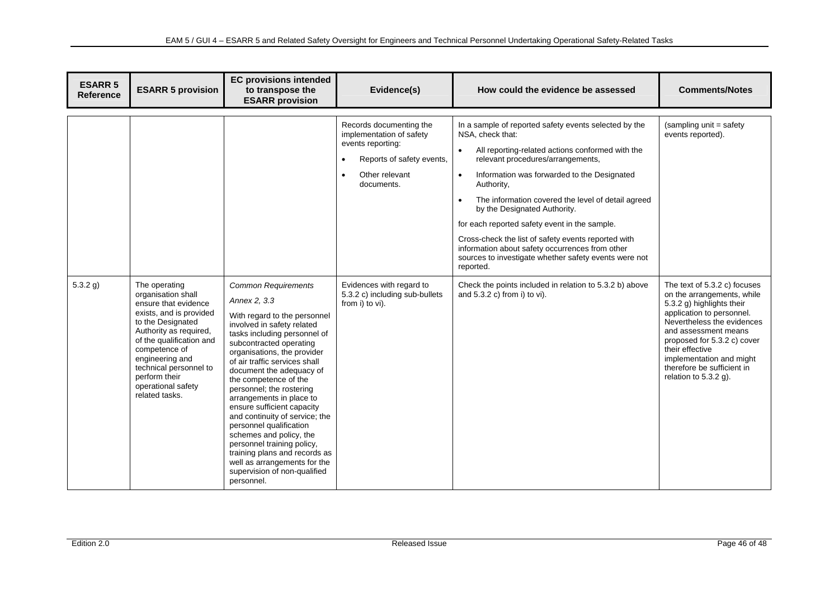| <b>ESARR 5</b><br><b>Reference</b> | <b>ESARR 5 provision</b>                                                                                                                                                                                                                                                                 | <b>EC provisions intended</b><br>to transpose the<br><b>ESARR provision</b>                                                                                                                                                                                                                                                                                                                                                                                                                                                                                                                                         | Evidence(s)                                                                                                                                                     | How could the evidence be assessed                                                                                                                                                                                                                                                                                                                                                                                                                                                                                                                                               | <b>Comments/Notes</b>                                                                                                                                                                                                                                                                                             |
|------------------------------------|------------------------------------------------------------------------------------------------------------------------------------------------------------------------------------------------------------------------------------------------------------------------------------------|---------------------------------------------------------------------------------------------------------------------------------------------------------------------------------------------------------------------------------------------------------------------------------------------------------------------------------------------------------------------------------------------------------------------------------------------------------------------------------------------------------------------------------------------------------------------------------------------------------------------|-----------------------------------------------------------------------------------------------------------------------------------------------------------------|----------------------------------------------------------------------------------------------------------------------------------------------------------------------------------------------------------------------------------------------------------------------------------------------------------------------------------------------------------------------------------------------------------------------------------------------------------------------------------------------------------------------------------------------------------------------------------|-------------------------------------------------------------------------------------------------------------------------------------------------------------------------------------------------------------------------------------------------------------------------------------------------------------------|
|                                    |                                                                                                                                                                                                                                                                                          |                                                                                                                                                                                                                                                                                                                                                                                                                                                                                                                                                                                                                     | Records documenting the<br>implementation of safety<br>events reporting:<br>Reports of safety events,<br>$\bullet$<br>Other relevant<br>$\bullet$<br>documents. | In a sample of reported safety events selected by the<br>NSA, check that:<br>All reporting-related actions conformed with the<br>$\bullet$<br>relevant procedures/arrangements,<br>Information was forwarded to the Designated<br>$\bullet$<br>Authority,<br>The information covered the level of detail agreed<br>by the Designated Authority.<br>for each reported safety event in the sample.<br>Cross-check the list of safety events reported with<br>information about safety occurrences from other<br>sources to investigate whether safety events were not<br>reported. | (sampling unit = safety)<br>events reported).                                                                                                                                                                                                                                                                     |
| $5.3.2$ g)                         | The operating<br>organisation shall<br>ensure that evidence<br>exists, and is provided<br>to the Designated<br>Authority as required,<br>of the qualification and<br>competence of<br>engineering and<br>technical personnel to<br>perform their<br>operational safety<br>related tasks. | <b>Common Requirements</b><br>Annex 2, 3.3<br>With regard to the personnel<br>involved in safety related<br>tasks including personnel of<br>subcontracted operating<br>organisations, the provider<br>of air traffic services shall<br>document the adequacy of<br>the competence of the<br>personnel; the rostering<br>arrangements in place to<br>ensure sufficient capacity<br>and continuity of service; the<br>personnel qualification<br>schemes and policy, the<br>personnel training policy,<br>training plans and records as<br>well as arrangements for the<br>supervision of non-qualified<br>personnel. | Evidences with regard to<br>5.3.2 c) including sub-bullets<br>from i) to vi).                                                                                   | Check the points included in relation to 5.3.2 b) above<br>and 5.3.2 c) from i) to vi).                                                                                                                                                                                                                                                                                                                                                                                                                                                                                          | The text of 5.3.2 c) focuses<br>on the arrangements, while<br>5.3.2 g) highlights their<br>application to personnel.<br>Nevertheless the evidences<br>and assessment means<br>proposed for 5.3.2 c) cover<br>their effective<br>implementation and might<br>therefore be sufficient in<br>relation to $5.3.2$ g). |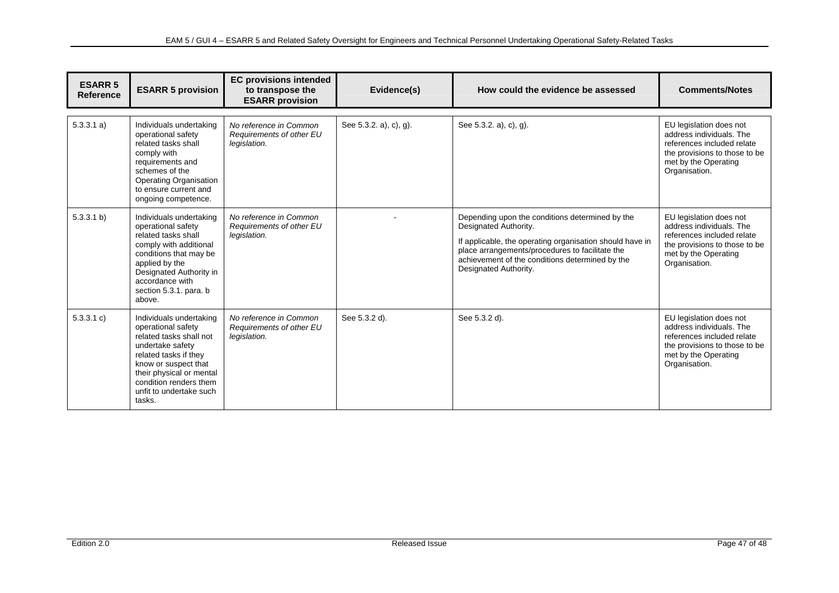| <b>ESARR 5</b><br><b>Reference</b> | <b>ESARR 5 provision</b>                                                                                                                                                                                                                 | <b>EC provisions intended</b><br>to transpose the<br><b>ESARR provision</b> | Evidence(s)            | How could the evidence be assessed                                                                                                                                                                                                                                  | <b>Comments/Notes</b>                                                                                                                                       |
|------------------------------------|------------------------------------------------------------------------------------------------------------------------------------------------------------------------------------------------------------------------------------------|-----------------------------------------------------------------------------|------------------------|---------------------------------------------------------------------------------------------------------------------------------------------------------------------------------------------------------------------------------------------------------------------|-------------------------------------------------------------------------------------------------------------------------------------------------------------|
| 5.3.3.1 a)                         | Individuals undertaking<br>operational safety<br>related tasks shall<br>comply with<br>requirements and<br>schemes of the<br><b>Operating Organisation</b><br>to ensure current and<br>ongoing competence.                               | No reference in Common<br>Requirements of other EU<br>legislation.          | See 5.3.2. a), c), g). | See 5.3.2. a), c), g).                                                                                                                                                                                                                                              | EU legislation does not<br>address individuals. The<br>references included relate<br>the provisions to those to be<br>met by the Operating<br>Organisation. |
| 5.3.3.1 b)                         | Individuals undertaking<br>operational safety<br>related tasks shall<br>comply with additional<br>conditions that may be<br>applied by the<br>Designated Authority in<br>accordance with<br>section 5.3.1. para. b<br>above.             | No reference in Common<br>Requirements of other EU<br>legislation.          |                        | Depending upon the conditions determined by the<br>Designated Authority.<br>If applicable, the operating organisation should have in<br>place arrangements/procedures to facilitate the<br>achievement of the conditions determined by the<br>Designated Authority. | EU legislation does not<br>address individuals. The<br>references included relate<br>the provisions to those to be<br>met by the Operating<br>Organisation. |
| 5.3.3.1 c)                         | Individuals undertaking<br>operational safety<br>related tasks shall not<br>undertake safety<br>related tasks if they<br>know or suspect that<br>their physical or mental<br>condition renders them<br>unfit to undertake such<br>tasks. | No reference in Common<br>Requirements of other EU<br>legislation.          | See 5.3.2 d).          | See 5.3.2 d).                                                                                                                                                                                                                                                       | EU legislation does not<br>address individuals. The<br>references included relate<br>the provisions to those to be<br>met by the Operating<br>Organisation. |